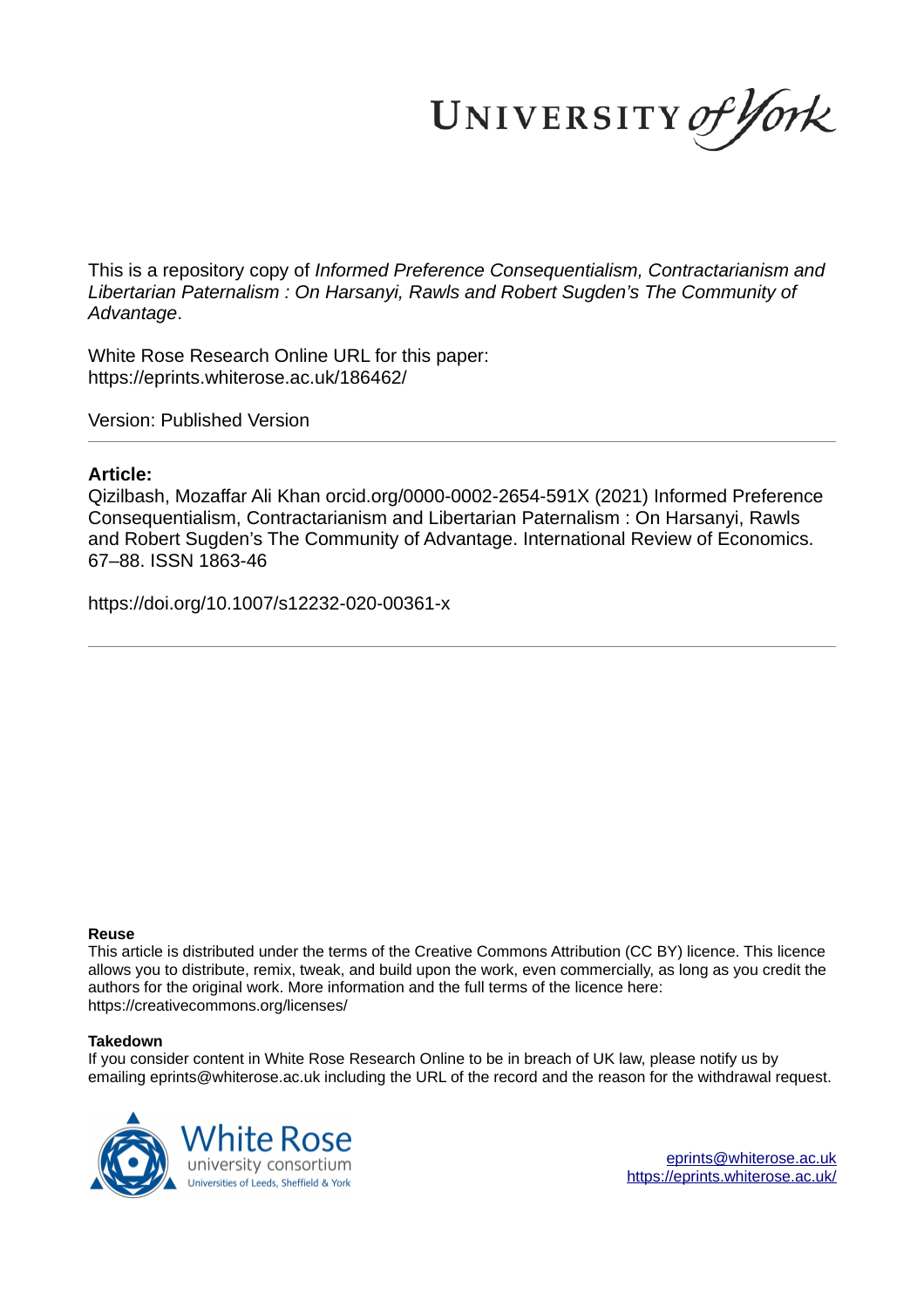UNIVERSITY of York

This is a repository copy of *Informed Preference Consequentialism, Contractarianism and Libertarian Paternalism : On Harsanyi, Rawls and Robert Sugden's The Community of Advantage*.

White Rose Research Online URL for this paper: https://eprints.whiterose.ac.uk/186462/

Version: Published Version

## **Article:**

Qizilbash, Mozaffar Ali Khan orcid.org/0000-0002-2654-591X (2021) Informed Preference Consequentialism, Contractarianism and Libertarian Paternalism : On Harsanyi, Rawls and Robert Sugden's The Community of Advantage. International Review of Economics. 67–88. ISSN 1863-46

https://doi.org/10.1007/s12232-020-00361-x

## **Reuse**

This article is distributed under the terms of the Creative Commons Attribution (CC BY) licence. This licence allows you to distribute, remix, tweak, and build upon the work, even commercially, as long as you credit the authors for the original work. More information and the full terms of the licence here: https://creativecommons.org/licenses/

## **Takedown**

If you consider content in White Rose Research Online to be in breach of UK law, please notify us by emailing eprints@whiterose.ac.uk including the URL of the record and the reason for the withdrawal request.

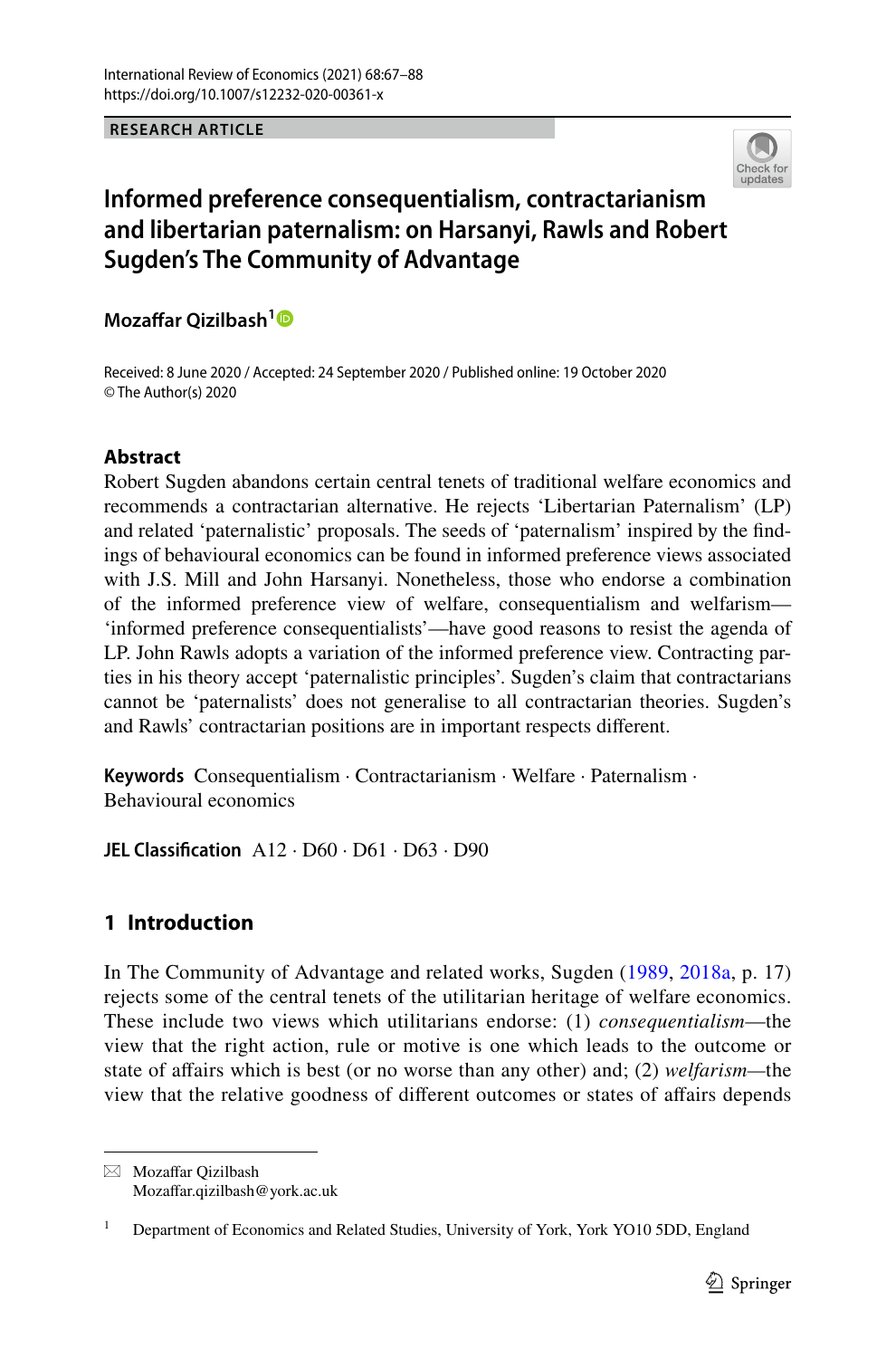### **RESEARCH ARTICLE**



# **Informed preference consequentialism, contractarianism and libertarian paternalism: on Harsanyi, Rawls and Robert Sugden's The Community of Advantage**

**Mozaffar Qizilbash[1](http://orcid.org/0000-0002-2654-591X)**

Received: 8 June 2020 / Accepted: 24 September 2020 / Published online: 19 October 2020 © The Author(s) 2020

## **Abstract**

Robert Sugden abandons certain central tenets of traditional welfare economics and recommends a contractarian alternative. He rejects 'Libertarian Paternalism' (LP) and related 'paternalistic' proposals. The seeds of 'paternalism' inspired by the findings of behavioural economics can be found in informed preference views associated with J.S. Mill and John Harsanyi. Nonetheless, those who endorse a combination of the informed preference view of welfare, consequentialism and welfarism— 'informed preference consequentialists'—have good reasons to resist the agenda of LP. John Rawls adopts a variation of the informed preference view. Contracting parties in his theory accept 'paternalistic principles'. Sugden's claim that contractarians cannot be 'paternalists' does not generalise to all contractarian theories. Sugden's and Rawls' contractarian positions are in important respects different.

**Keywords** Consequentialism · Contractarianism · Welfare · Paternalism · Behavioural economics

**JEL Classification** A12 · D60 · D61 · D63 · D90

## **1 Introduction**

In The Community of Advantage and related works, Sugden ([1989](#page-21-0), [2018a,](#page-22-0) p. 17) rejects some of the central tenets of the utilitarian heritage of welfare economics. These include two views which utilitarians endorse: (1) *consequentialism*—the view that the right action, rule or motive is one which leads to the outcome or state of affairs which is best (or no worse than any other) and; (2) *welfarism—*the view that the relative goodness of different outcomes or states of affairs depends

 $\boxtimes$  Mozaffar Oizilbash Mozaffar.qizilbash@york.ac.uk

<sup>1</sup> Department of Economics and Related Studies, University of York, York YO10 5DD, England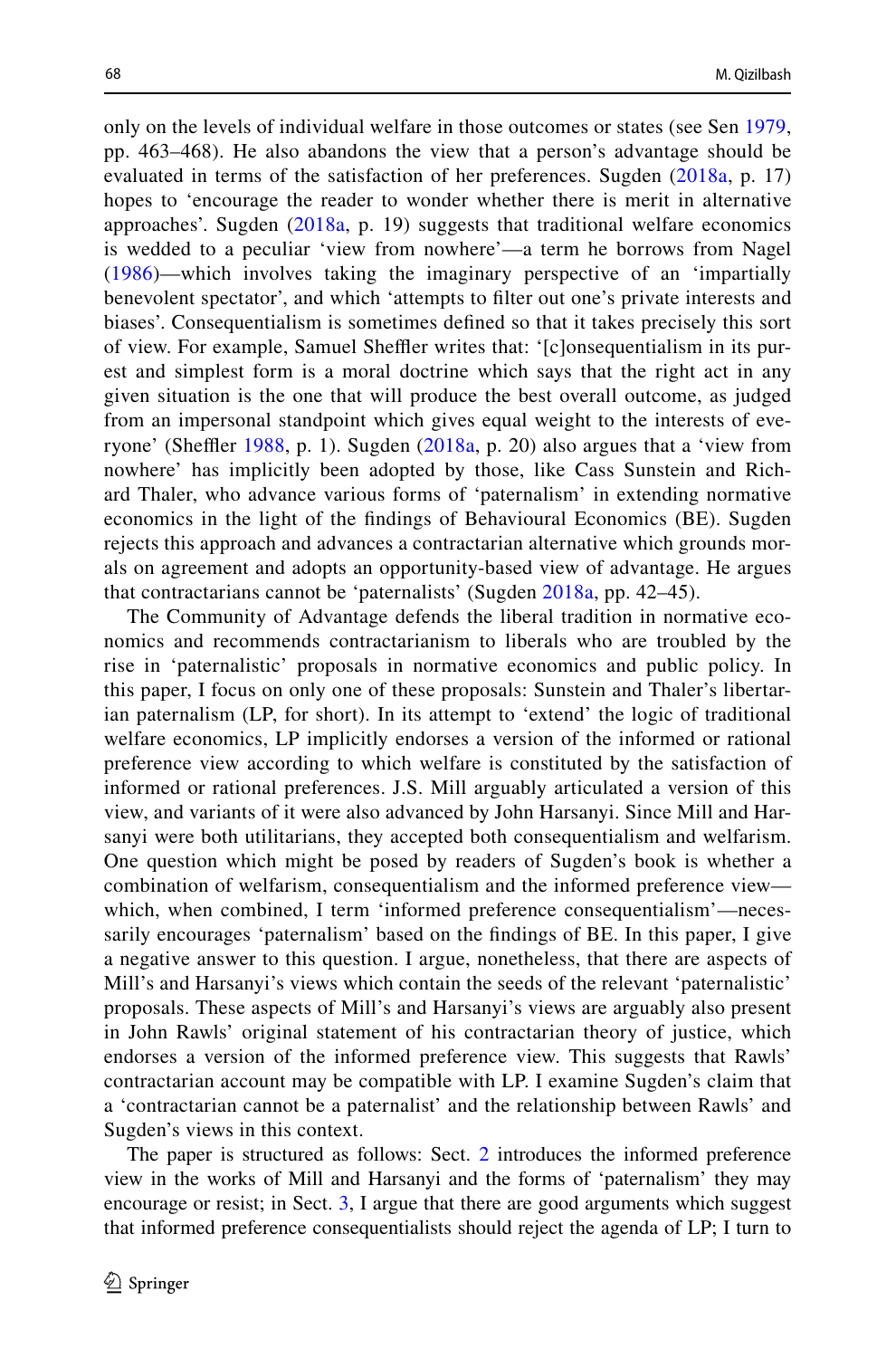only on the levels of individual welfare in those outcomes or states (see Sen [1979,](#page-21-1) pp. 463–468). He also abandons the view that a person's advantage should be evaluated in terms of the satisfaction of her preferences. Sugden ([2018a](#page-22-0), p. 17) hopes to 'encourage the reader to wonder whether there is merit in alternative approaches'. Sugden  $(2018a, p. 19)$  $(2018a, p. 19)$  suggests that traditional welfare economics is wedded to a peculiar 'view from nowhere'—a term he borrows from Nagel [\(1986](#page-21-2))—which involves taking the imaginary perspective of an 'impartially benevolent spectator', and which 'attempts to filter out one's private interests and biases'. Consequentialism is sometimes defined so that it takes precisely this sort of view. For example, Samuel Sheffler writes that: '[c]onsequentialism in its purest and simplest form is a moral doctrine which says that the right act in any given situation is the one that will produce the best overall outcome, as judged from an impersonal standpoint which gives equal weight to the interests of eve-ryone' (Sheffler [1988,](#page-21-3) p. 1). Sugden ([2018a](#page-22-0), p. 20) also argues that a 'view from nowhere' has implicitly been adopted by those, like Cass Sunstein and Richard Thaler, who advance various forms of 'paternalism' in extending normative economics in the light of the findings of Behavioural Economics (BE). Sugden rejects this approach and advances a contractarian alternative which grounds morals on agreement and adopts an opportunity-based view of advantage. He argues that contractarians cannot be 'paternalists' (Sugden [2018a](#page-22-0), pp. 42–45).

The Community of Advantage defends the liberal tradition in normative economics and recommends contractarianism to liberals who are troubled by the rise in 'paternalistic' proposals in normative economics and public policy. In this paper, I focus on only one of these proposals: Sunstein and Thaler's libertarian paternalism (LP, for short). In its attempt to 'extend' the logic of traditional welfare economics, LP implicitly endorses a version of the informed or rational preference view according to which welfare is constituted by the satisfaction of informed or rational preferences. J.S. Mill arguably articulated a version of this view, and variants of it were also advanced by John Harsanyi. Since Mill and Harsanyi were both utilitarians, they accepted both consequentialism and welfarism. One question which might be posed by readers of Sugden's book is whether a combination of welfarism, consequentialism and the informed preference view which, when combined, I term 'informed preference consequentialism'—necessarily encourages 'paternalism' based on the findings of BE. In this paper, I give a negative answer to this question. I argue, nonetheless, that there are aspects of Mill's and Harsanyi's views which contain the seeds of the relevant 'paternalistic' proposals. These aspects of Mill's and Harsanyi's views are arguably also present in John Rawls' original statement of his contractarian theory of justice, which endorses a version of the informed preference view. This suggests that Rawls' contractarian account may be compatible with LP. I examine Sugden's claim that a 'contractarian cannot be a paternalist' and the relationship between Rawls' and Sugden's views in this context.

The paper is structured as follows: Sect. [2](#page-3-0) introduces the informed preference view in the works of Mill and Harsanyi and the forms of 'paternalism' they may encourage or resist; in Sect. [3](#page-6-0), I argue that there are good arguments which suggest that informed preference consequentialists should reject the agenda of LP; I turn to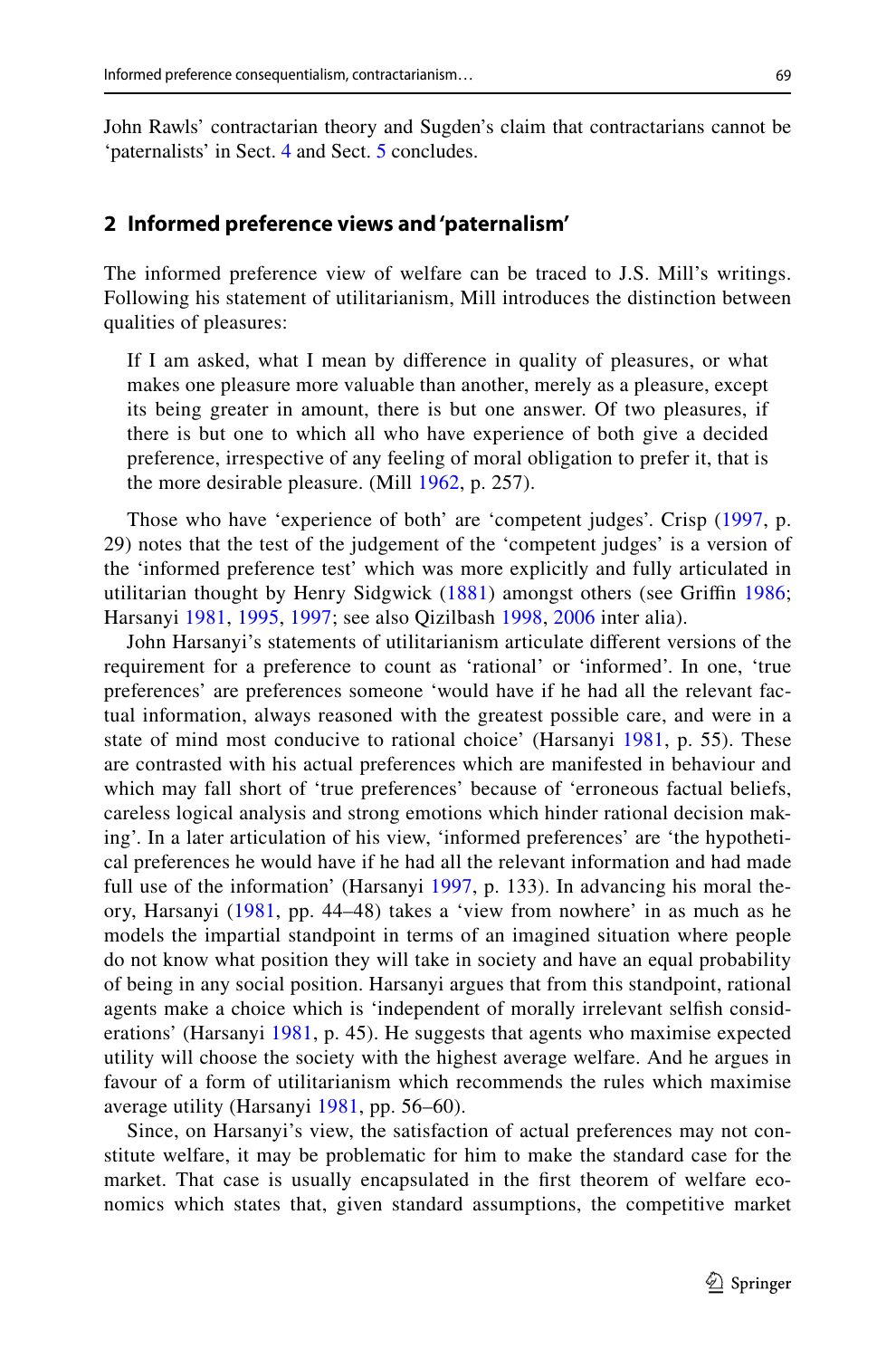John Rawls' contractarian theory and Sugden's claim that contractarians cannot be 'paternalists' in Sect. [4](#page-10-0) and Sect. [5](#page-19-0) concludes.

### <span id="page-3-0"></span>**2 Informed preference views and 'paternalism'**

The informed preference view of welfare can be traced to J.S. Mill's writings. Following his statement of utilitarianism, Mill introduces the distinction between qualities of pleasures:

If I am asked, what I mean by difference in quality of pleasures, or what makes one pleasure more valuable than another, merely as a pleasure, except its being greater in amount, there is but one answer. Of two pleasures, if there is but one to which all who have experience of both give a decided preference, irrespective of any feeling of moral obligation to prefer it, that is the more desirable pleasure. (Mill [1962,](#page-21-4) p. 257).

Those who have 'experience of both' are 'competent judges'. Crisp ([1997,](#page-20-0) p. 29) notes that the test of the judgement of the 'competent judges' is a version of the 'informed preference test' which was more explicitly and fully articulated in utilitarian thought by Henry Sidgwick ([1881\)](#page-21-5) amongst others (see Griffin [1986;](#page-20-1) Harsanyi [1981](#page-21-6), [1995](#page-21-7), [1997;](#page-21-8) see also Qizilbash [1998](#page-21-9), [2006](#page-21-10) inter alia).

John Harsanyi's statements of utilitarianism articulate different versions of the requirement for a preference to count as 'rational' or 'informed'. In one, 'true preferences' are preferences someone 'would have if he had all the relevant factual information, always reasoned with the greatest possible care, and were in a state of mind most conducive to rational choice' (Harsanyi [1981,](#page-21-6) p. 55). These are contrasted with his actual preferences which are manifested in behaviour and which may fall short of 'true preferences' because of 'erroneous factual beliefs, careless logical analysis and strong emotions which hinder rational decision making'. In a later articulation of his view, 'informed preferences' are 'the hypothetical preferences he would have if he had all the relevant information and had made full use of the information' (Harsanyi [1997,](#page-21-8) p. 133). In advancing his moral theory, Harsanyi ([1981](#page-21-6), pp. 44–48) takes a 'view from nowhere' in as much as he models the impartial standpoint in terms of an imagined situation where people do not know what position they will take in society and have an equal probability of being in any social position. Harsanyi argues that from this standpoint, rational agents make a choice which is 'independent of morally irrelevant selfish consid-erations' (Harsanyi [1981,](#page-21-6) p. 45). He suggests that agents who maximise expected utility will choose the society with the highest average welfare. And he argues in favour of a form of utilitarianism which recommends the rules which maximise average utility (Harsanyi [1981](#page-21-6), pp. 56–60).

Since, on Harsanyi's view, the satisfaction of actual preferences may not constitute welfare, it may be problematic for him to make the standard case for the market. That case is usually encapsulated in the first theorem of welfare economics which states that, given standard assumptions, the competitive market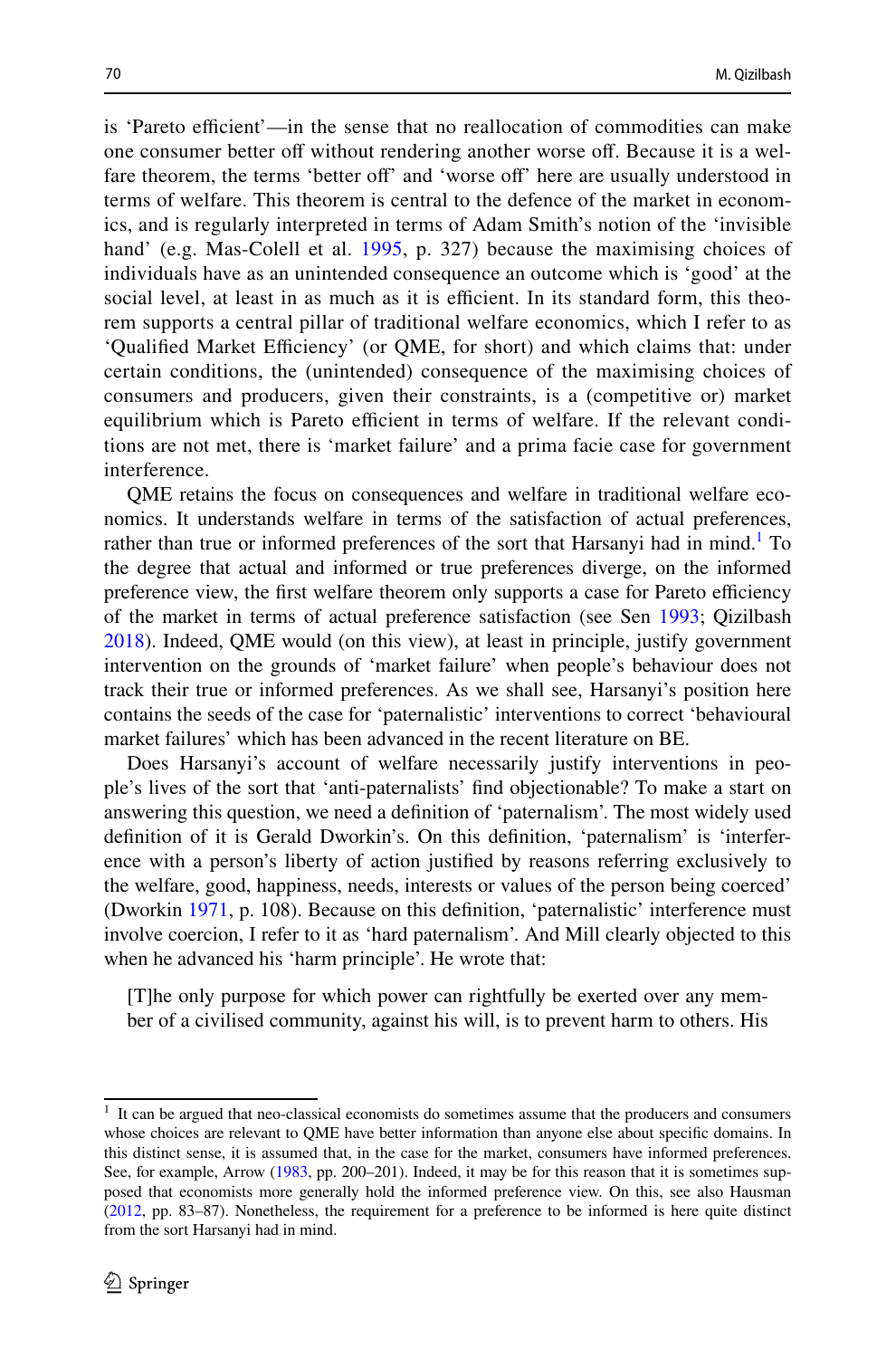is 'Pareto efficient'—in the sense that no reallocation of commodities can make one consumer better off without rendering another worse off. Because it is a welfare theorem, the terms 'better off' and 'worse off' here are usually understood in terms of welfare. This theorem is central to the defence of the market in economics, and is regularly interpreted in terms of Adam Smith's notion of the 'invisible hand' (e.g. Mas-Colell et al. [1995,](#page-21-11) p. 327) because the maximising choices of individuals have as an unintended consequence an outcome which is 'good' at the social level, at least in as much as it is efficient. In its standard form, this theorem supports a central pillar of traditional welfare economics, which I refer to as 'Qualified Market Efficiency' (or QME, for short) and which claims that: under certain conditions, the (unintended) consequence of the maximising choices of consumers and producers, given their constraints, is a (competitive or) market equilibrium which is Pareto efficient in terms of welfare. If the relevant conditions are not met, there is 'market failure' and a prima facie case for government interference.

QME retains the focus on consequences and welfare in traditional welfare economics. It understands welfare in terms of the satisfaction of actual preferences, rather than true or informed preferences of the sort that Harsanyi had in mind.<sup>[1](#page-4-0)</sup> To the degree that actual and informed or true preferences diverge, on the informed preference view, the first welfare theorem only supports a case for Pareto efficiency of the market in terms of actual preference satisfaction (see Sen [1993](#page-21-12); Qizilbash [2018](#page-21-13)). Indeed, QME would (on this view), at least in principle, justify government intervention on the grounds of 'market failure' when people's behaviour does not track their true or informed preferences. As we shall see, Harsanyi's position here contains the seeds of the case for 'paternalistic' interventions to correct 'behavioural market failures' which has been advanced in the recent literature on BE.

Does Harsanyi's account of welfare necessarily justify interventions in people's lives of the sort that 'anti-paternalists' find objectionable? To make a start on answering this question, we need a definition of 'paternalism'. The most widely used definition of it is Gerald Dworkin's. On this definition, 'paternalism' is 'interference with a person's liberty of action justified by reasons referring exclusively to the welfare, good, happiness, needs, interests or values of the person being coerced' (Dworkin [1971](#page-20-2), p. 108). Because on this definition, 'paternalistic' interference must involve coercion, I refer to it as 'hard paternalism'. And Mill clearly objected to this when he advanced his 'harm principle'. He wrote that:

[T]he only purpose for which power can rightfully be exerted over any member of a civilised community, against his will, is to prevent harm to others. His

<span id="page-4-0"></span><sup>1</sup> It can be argued that neo-classical economists do sometimes assume that the producers and consumers whose choices are relevant to QME have better information than anyone else about specific domains. In this distinct sense, it is assumed that, in the case for the market, consumers have informed preferences. See, for example, Arrow [\(1983](#page-20-3), pp. 200–201). Indeed, it may be for this reason that it is sometimes supposed that economists more generally hold the informed preference view. On this, see also Hausman ([2012,](#page-21-14) pp. 83–87). Nonetheless, the requirement for a preference to be informed is here quite distinct from the sort Harsanyi had in mind.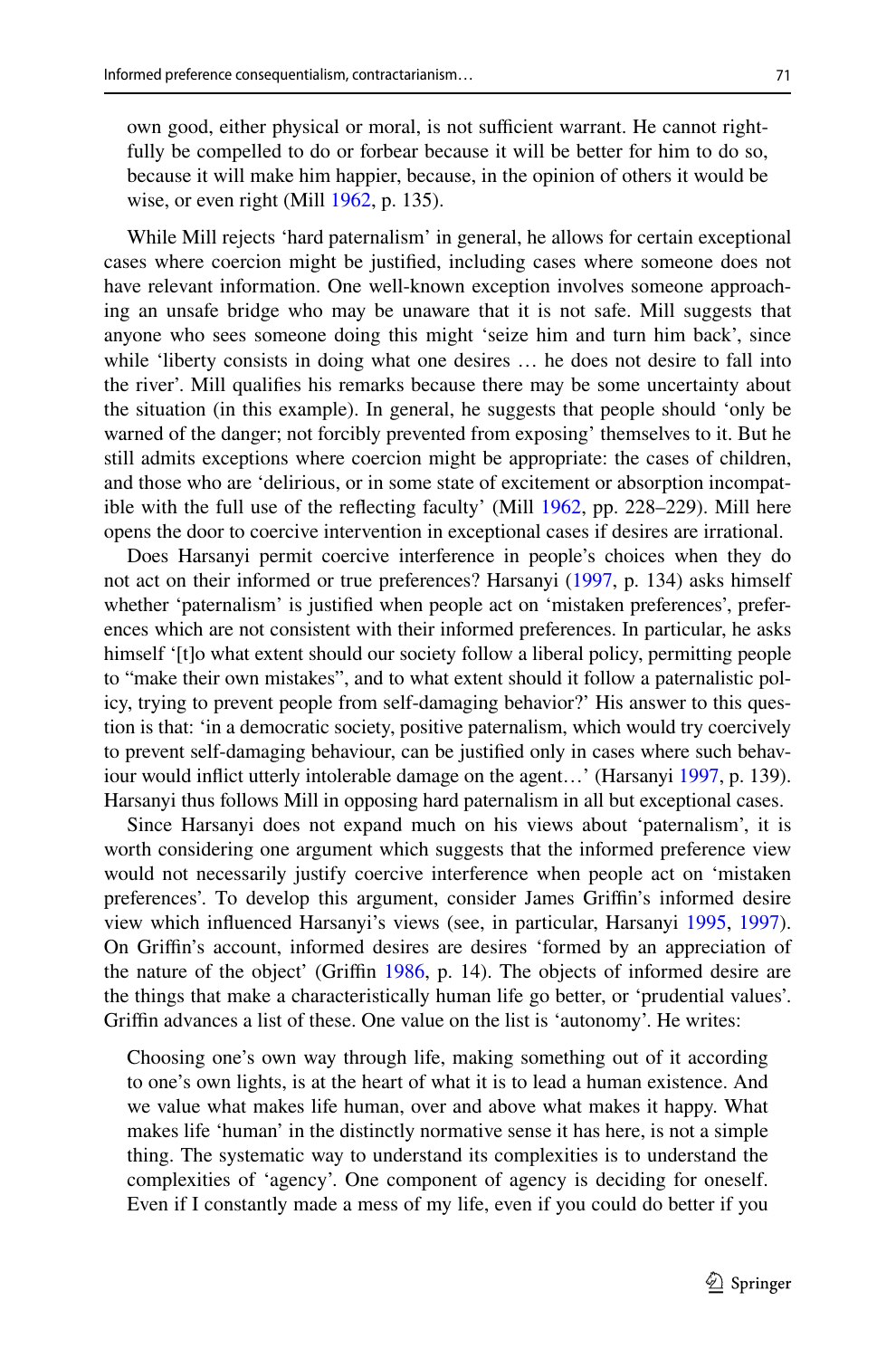own good, either physical or moral, is not sufficient warrant. He cannot rightfully be compelled to do or forbear because it will be better for him to do so, because it will make him happier, because, in the opinion of others it would be wise, or even right (Mill [1962](#page-21-4), p. 135).

While Mill rejects 'hard paternalism' in general, he allows for certain exceptional cases where coercion might be justified, including cases where someone does not have relevant information. One well-known exception involves someone approaching an unsafe bridge who may be unaware that it is not safe. Mill suggests that anyone who sees someone doing this might 'seize him and turn him back', since while 'liberty consists in doing what one desires ... he does not desire to fall into the river'. Mill qualifies his remarks because there may be some uncertainty about the situation (in this example). In general, he suggests that people should 'only be warned of the danger; not forcibly prevented from exposing' themselves to it. But he still admits exceptions where coercion might be appropriate: the cases of children, and those who are 'delirious, or in some state of excitement or absorption incompatible with the full use of the reflecting faculty' (Mill [1962](#page-21-4), pp. 228–229). Mill here opens the door to coercive intervention in exceptional cases if desires are irrational.

Does Harsanyi permit coercive interference in people's choices when they do not act on their informed or true preferences? Harsanyi ([1997,](#page-21-8) p. 134) asks himself whether 'paternalism' is justified when people act on 'mistaken preferences', preferences which are not consistent with their informed preferences. In particular, he asks himself '[t]o what extent should our society follow a liberal policy, permitting people to "make their own mistakes", and to what extent should it follow a paternalistic policy, trying to prevent people from self-damaging behavior?' His answer to this question is that: 'in a democratic society, positive paternalism, which would try coercively to prevent self-damaging behaviour, can be justified only in cases where such behaviour would inflict utterly intolerable damage on the agent…' (Harsanyi [1997,](#page-21-8) p. 139). Harsanyi thus follows Mill in opposing hard paternalism in all but exceptional cases.

Since Harsanyi does not expand much on his views about 'paternalism', it is worth considering one argument which suggests that the informed preference view would not necessarily justify coercive interference when people act on 'mistaken preferences'. To develop this argument, consider James Griffin's informed desire view which influenced Harsanyi's views (see, in particular, Harsanyi [1995](#page-21-7), [1997\)](#page-21-8). On Griffin's account, informed desires are desires 'formed by an appreciation of the nature of the object' (Griffin [1986](#page-20-1), p. 14). The objects of informed desire are the things that make a characteristically human life go better, or 'prudential values'. Griffin advances a list of these. One value on the list is 'autonomy'. He writes:

Choosing one's own way through life, making something out of it according to one's own lights, is at the heart of what it is to lead a human existence. And we value what makes life human, over and above what makes it happy. What makes life 'human' in the distinctly normative sense it has here, is not a simple thing. The systematic way to understand its complexities is to understand the complexities of 'agency'. One component of agency is deciding for oneself. Even if I constantly made a mess of my life, even if you could do better if you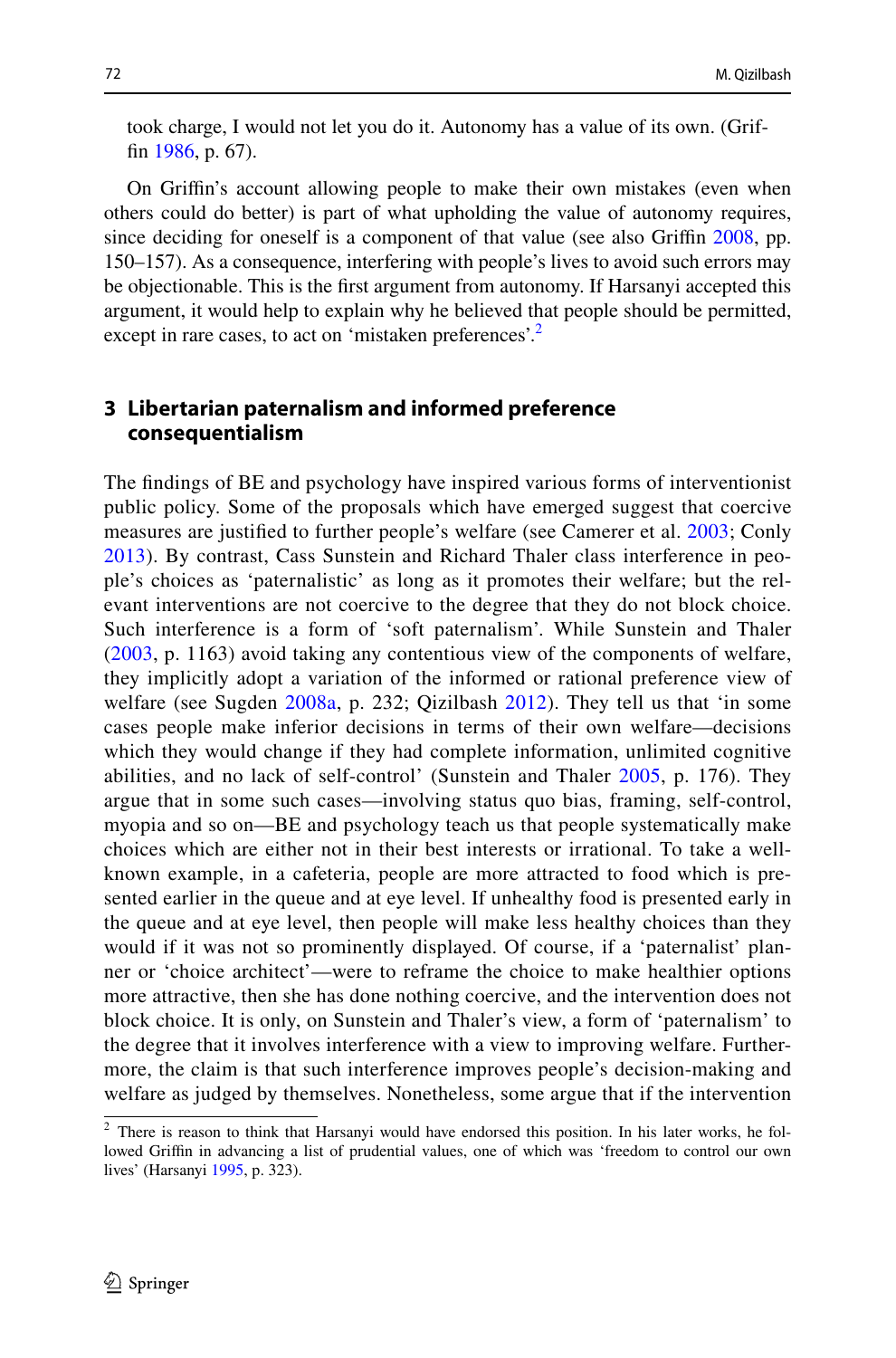took charge, I would not let you do it. Autonomy has a value of its own. (Griffin [1986](#page-20-1), p. 67).

On Griffin's account allowing people to make their own mistakes (even when others could do better) is part of what upholding the value of autonomy requires, since deciding for oneself is a component of that value (see also Griffin [2008,](#page-21-15) pp. 150–157). As a consequence, interfering with people's lives to avoid such errors may be objectionable. This is the first argument from autonomy. If Harsanyi accepted this argument, it would help to explain why he believed that people should be permitted, except in rare cases, to act on 'mistaken preferences'.<sup>[2](#page-6-1)</sup>

### <span id="page-6-0"></span>**3 Libertarian paternalism and informed preference consequentialism**

The findings of BE and psychology have inspired various forms of interventionist public policy. Some of the proposals which have emerged suggest that coercive measures are justified to further people's welfare (see Camerer et al. [2003;](#page-20-4) Conly [2013\)](#page-20-5). By contrast, Cass Sunstein and Richard Thaler class interference in people's choices as 'paternalistic' as long as it promotes their welfare; but the relevant interventions are not coercive to the degree that they do not block choice. Such interference is a form of 'soft paternalism'. While Sunstein and Thaler ([2003](#page-22-1), p. 1163) avoid taking any contentious view of the components of welfare, they implicitly adopt a variation of the informed or rational preference view of welfare (see Sugden [2008a](#page-21-16), p. 232; Qizilbash [2012](#page-21-17)). They tell us that 'in some cases people make inferior decisions in terms of their own welfare—decisions which they would change if they had complete information, unlimited cognitive abilities, and no lack of self-control' (Sunstein and Thaler [2005](#page-22-2), p. 176). They argue that in some such cases—involving status quo bias, framing, self-control, myopia and so on—BE and psychology teach us that people systematically make choices which are either not in their best interests or irrational. To take a wellknown example, in a cafeteria, people are more attracted to food which is presented earlier in the queue and at eye level. If unhealthy food is presented early in the queue and at eye level, then people will make less healthy choices than they would if it was not so prominently displayed. Of course, if a 'paternalist' planner or 'choice architect'—were to reframe the choice to make healthier options more attractive, then she has done nothing coercive, and the intervention does not block choice. It is only, on Sunstein and Thaler's view, a form of 'paternalism' to the degree that it involves interference with a view to improving welfare. Furthermore, the claim is that such interference improves people's decision-making and welfare as judged by themselves. Nonetheless, some argue that if the intervention

<span id="page-6-1"></span> $2$  There is reason to think that Harsanyi would have endorsed this position. In his later works, he followed Griffin in advancing a list of prudential values, one of which was 'freedom to control our own lives' (Harsanyi [1995,](#page-21-7) p. 323).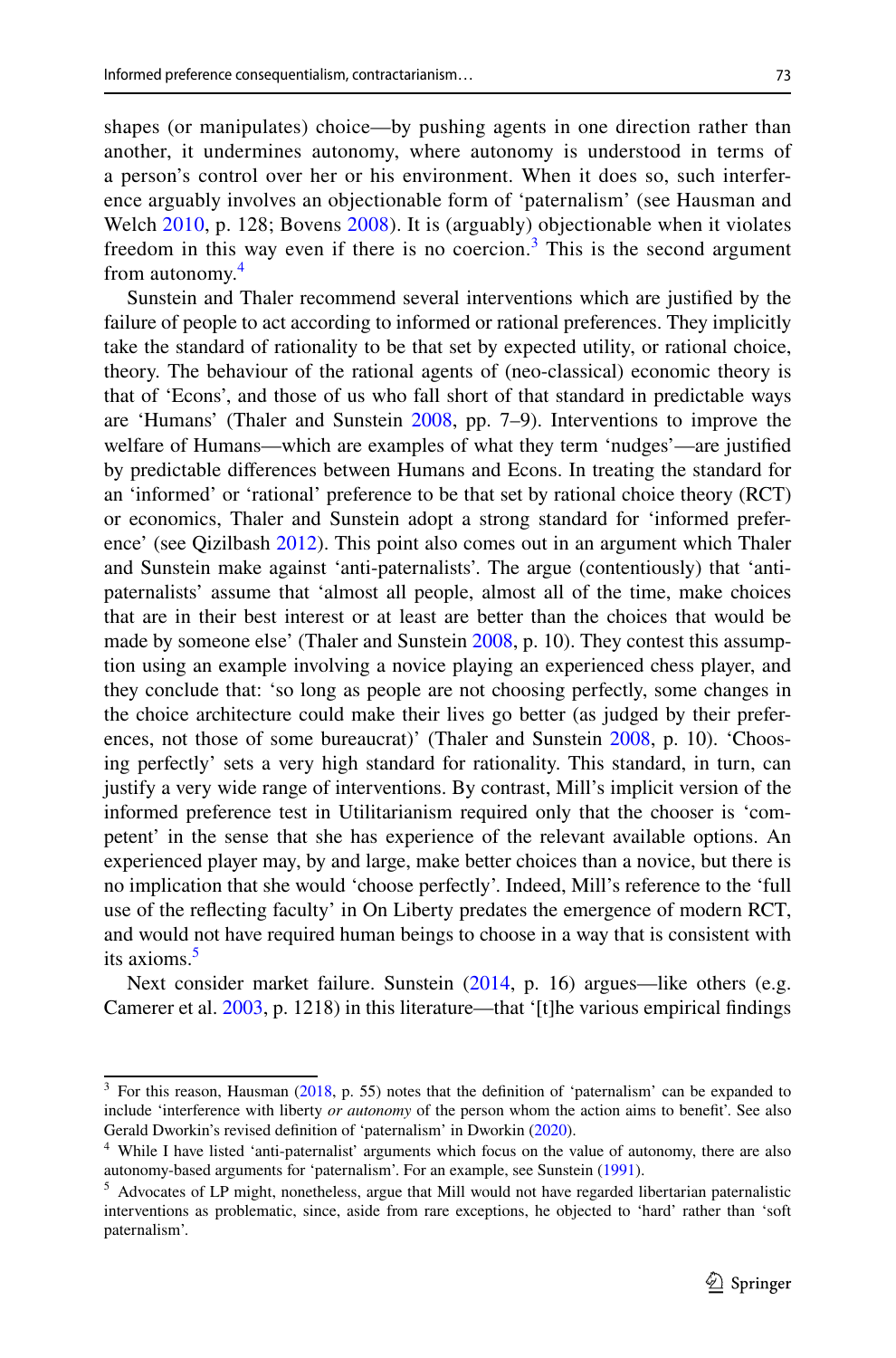shapes (or manipulates) choice—by pushing agents in one direction rather than another, it undermines autonomy, where autonomy is understood in terms of a person's control over her or his environment. When it does so, such interference arguably involves an objectionable form of 'paternalism' (see Hausman and Welch [2010](#page-21-18), p. 128; Bovens [2008](#page-20-6)). It is (arguably) objectionable when it violates freedom in this way even if there is no coercion.<sup>[3](#page-7-0)</sup> This is the second argument from autonomy.<sup>[4](#page-7-1)</sup>

Sunstein and Thaler recommend several interventions which are justified by the failure of people to act according to informed or rational preferences. They implicitly take the standard of rationality to be that set by expected utility, or rational choice, theory. The behaviour of the rational agents of (neo-classical) economic theory is that of 'Econs', and those of us who fall short of that standard in predictable ways are 'Humans' (Thaler and Sunstein [2008,](#page-22-3) pp. 7–9). Interventions to improve the welfare of Humans—which are examples of what they term 'nudges'—are justified by predictable differences between Humans and Econs. In treating the standard for an 'informed' or 'rational' preference to be that set by rational choice theory (RCT) or economics, Thaler and Sunstein adopt a strong standard for 'informed preference' (see Qizilbash [2012\)](#page-21-17). This point also comes out in an argument which Thaler and Sunstein make against 'anti-paternalists'. The argue (contentiously) that 'antipaternalists' assume that 'almost all people, almost all of the time, make choices that are in their best interest or at least are better than the choices that would be made by someone else' (Thaler and Sunstein [2008,](#page-22-3) p. 10). They contest this assumption using an example involving a novice playing an experienced chess player, and they conclude that: 'so long as people are not choosing perfectly, some changes in the choice architecture could make their lives go better (as judged by their prefer-ences, not those of some bureaucrat)' (Thaler and Sunstein [2008](#page-22-3), p. 10). 'Choosing perfectly' sets a very high standard for rationality. This standard, in turn, can justify a very wide range of interventions. By contrast, Mill's implicit version of the informed preference test in Utilitarianism required only that the chooser is 'competent' in the sense that she has experience of the relevant available options. An experienced player may, by and large, make better choices than a novice, but there is no implication that she would 'choose perfectly'. Indeed, Mill's reference to the 'full use of the reflecting faculty' in On Liberty predates the emergence of modern RCT, and would not have required human beings to choose in a way that is consistent with its axioms.<sup>[5](#page-7-2)</sup>

Next consider market failure. Sunstein [\(2014](#page-22-4), p. 16) argues—like others (e.g. Camerer et al. [2003](#page-20-4), p. 1218) in this literature—that '[t]he various empirical findings

<span id="page-7-0"></span><sup>&</sup>lt;sup>3</sup> For this reason, Hausman [\(2018](#page-21-19), p. 55) notes that the definition of 'paternalism' can be expanded to include 'interference with liberty *or autonomy* of the person whom the action aims to benefit'. See also Gerald Dworkin's revised definition of 'paternalism' in Dworkin [\(2020](#page-20-7)).

<span id="page-7-1"></span><sup>4</sup> While I have listed 'anti-paternalist' arguments which focus on the value of autonomy, there are also autonomy-based arguments for 'paternalism'. For an example, see Sunstein ([1991\)](#page-22-5).

<span id="page-7-2"></span><sup>&</sup>lt;sup>5</sup> Advocates of LP might, nonetheless, argue that Mill would not have regarded libertarian paternalistic interventions as problematic, since, aside from rare exceptions, he objected to 'hard' rather than 'soft paternalism'.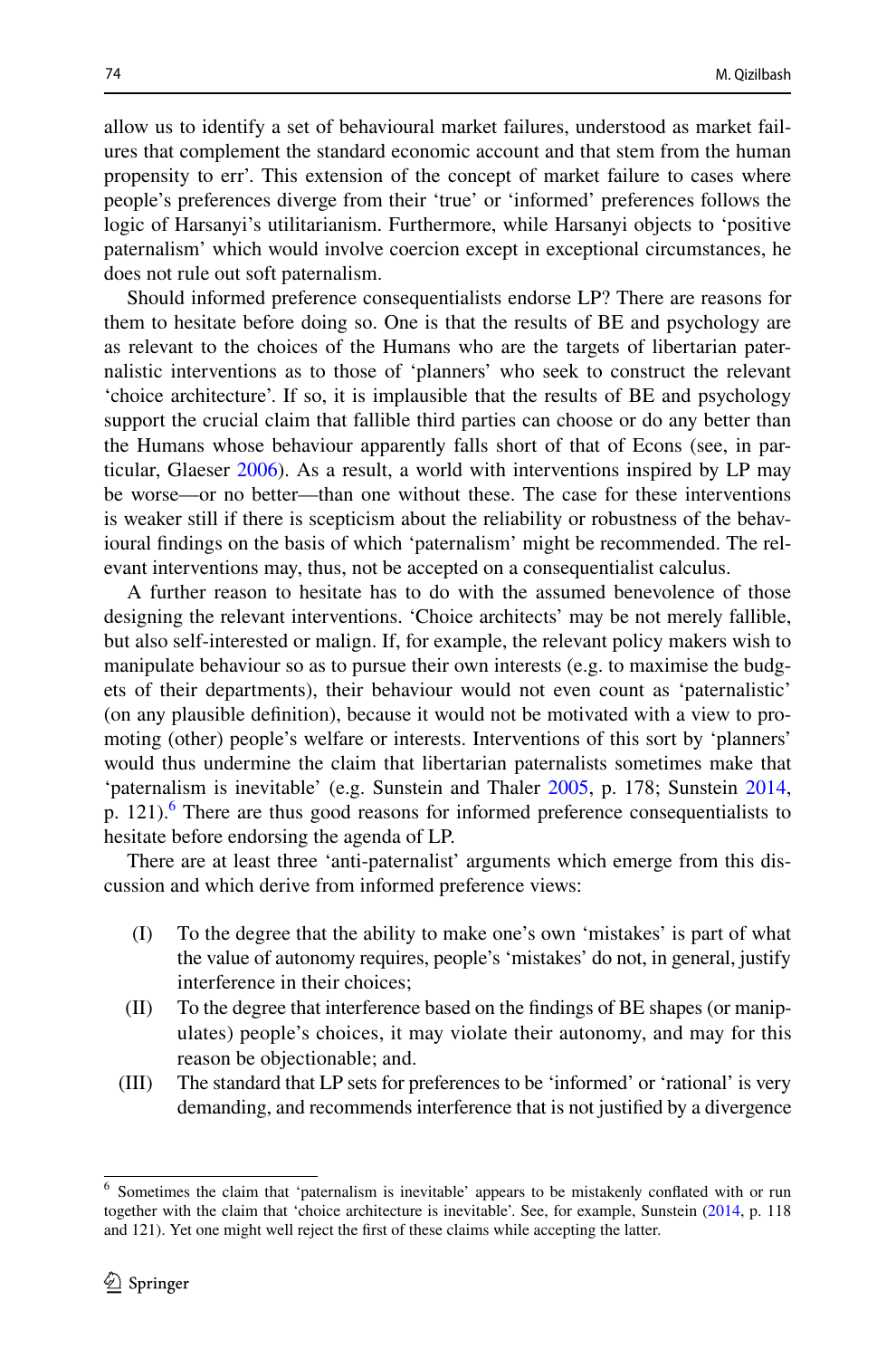allow us to identify a set of behavioural market failures, understood as market failures that complement the standard economic account and that stem from the human propensity to err'. This extension of the concept of market failure to cases where people's preferences diverge from their 'true' or 'informed' preferences follows the logic of Harsanyi's utilitarianism. Furthermore, while Harsanyi objects to 'positive paternalism' which would involve coercion except in exceptional circumstances, he does not rule out soft paternalism.

Should informed preference consequentialists endorse LP? There are reasons for them to hesitate before doing so. One is that the results of BE and psychology are as relevant to the choices of the Humans who are the targets of libertarian paternalistic interventions as to those of 'planners' who seek to construct the relevant 'choice architecture'. If so, it is implausible that the results of BE and psychology support the crucial claim that fallible third parties can choose or do any better than the Humans whose behaviour apparently falls short of that of Econs (see, in particular, Glaeser [2006](#page-20-8)). As a result, a world with interventions inspired by LP may be worse—or no better—than one without these. The case for these interventions is weaker still if there is scepticism about the reliability or robustness of the behavioural findings on the basis of which 'paternalism' might be recommended. The relevant interventions may, thus, not be accepted on a consequentialist calculus.

A further reason to hesitate has to do with the assumed benevolence of those designing the relevant interventions. 'Choice architects' may be not merely fallible, but also self-interested or malign. If, for example, the relevant policy makers wish to manipulate behaviour so as to pursue their own interests (e.g. to maximise the budgets of their departments), their behaviour would not even count as 'paternalistic' (on any plausible definition), because it would not be motivated with a view to promoting (other) people's welfare or interests. Interventions of this sort by 'planners' would thus undermine the claim that libertarian paternalists sometimes make that 'paternalism is inevitable' (e.g. Sunstein and Thaler [2005,](#page-22-2) p. 178; Sunstein [2014,](#page-22-4) p. 121).<sup>[6](#page-8-0)</sup> There are thus good reasons for informed preference consequentialists to hesitate before endorsing the agenda of LP.

There are at least three 'anti-paternalist' arguments which emerge from this discussion and which derive from informed preference views:

- (I) To the degree that the ability to make one's own 'mistakes' is part of what the value of autonomy requires, people's 'mistakes' do not, in general, justify interference in their choices;
- (II) To the degree that interference based on the findings of BE shapes (or manipulates) people's choices, it may violate their autonomy, and may for this reason be objectionable; and.
- (III) The standard that LP sets for preferences to be 'informed' or 'rational' is very demanding, and recommends interference that is not justified by a divergence

<span id="page-8-0"></span><sup>&</sup>lt;sup>6</sup> Sometimes the claim that 'paternalism is inevitable' appears to be mistakenly conflated with or run together with the claim that 'choice architecture is inevitable'. See, for example, Sunstein [\(2014](#page-22-4), p. 118 and 121). Yet one might well reject the first of these claims while accepting the latter.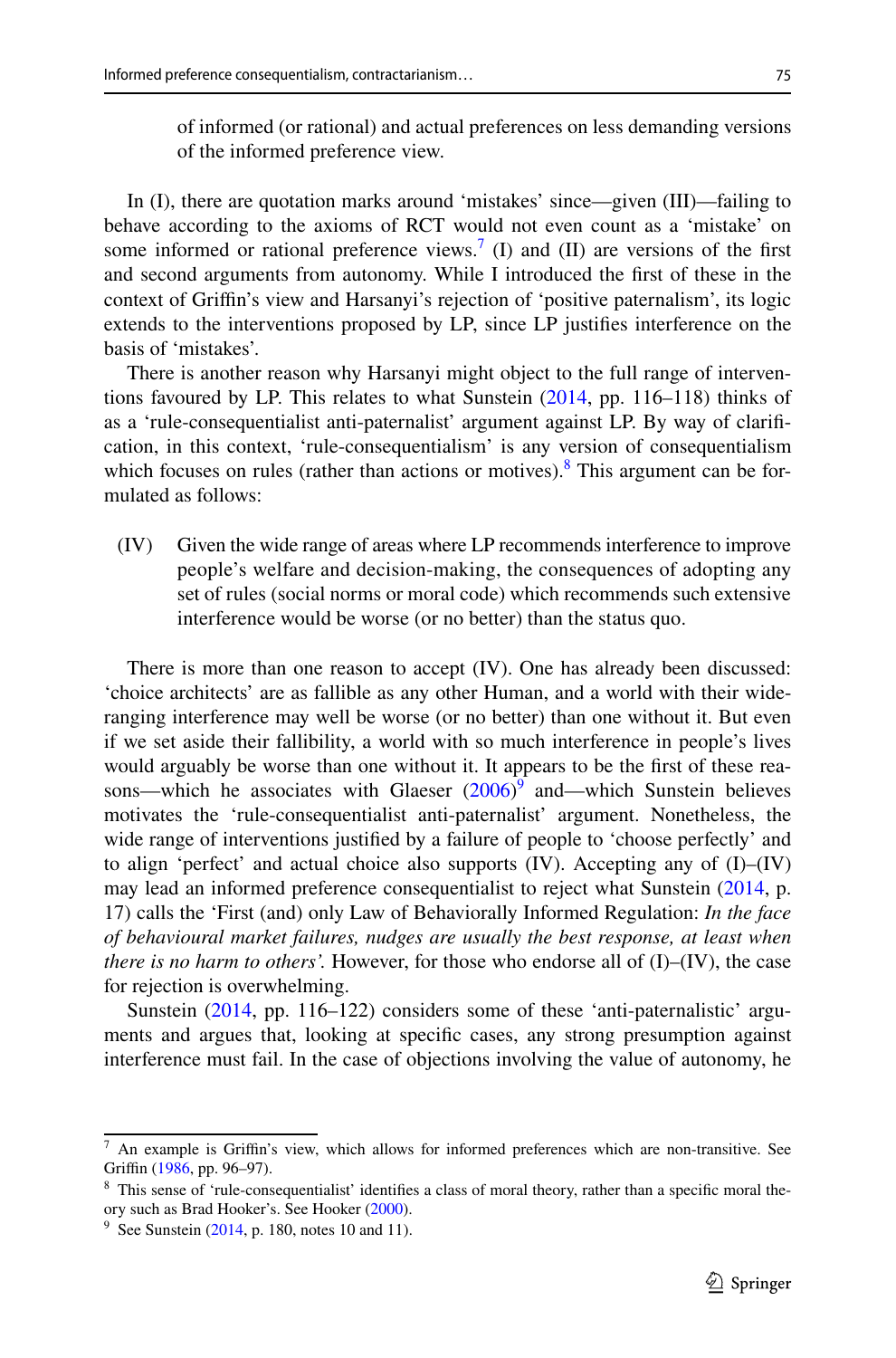of informed (or rational) and actual preferences on less demanding versions of the informed preference view.

In (I), there are quotation marks around 'mistakes' since—given (III)—failing to behave according to the axioms of RCT would not even count as a 'mistake' on some informed or rational preference views.<sup>[7](#page-9-0)</sup> (I) and (II) are versions of the first and second arguments from autonomy. While I introduced the first of these in the context of Griffin's view and Harsanyi's rejection of 'positive paternalism', its logic extends to the interventions proposed by LP, since LP justifies interference on the basis of 'mistakes'.

There is another reason why Harsanyi might object to the full range of interventions favoured by LP. This relates to what Sunstein [\(2014](#page-22-4), pp. 116–118) thinks of as a 'rule-consequentialist anti-paternalist' argument against LP. By way of clarification, in this context, 'rule-consequentialism' is any version of consequentialism which focuses on rules (rather than actions or motives). $8$  This argument can be formulated as follows:

 (IV) Given the wide range of areas where LP recommends interference to improve people's welfare and decision-making, the consequences of adopting any set of rules (social norms or moral code) which recommends such extensive interference would be worse (or no better) than the status quo.

There is more than one reason to accept (IV). One has already been discussed: 'choice architects' are as fallible as any other Human, and a world with their wideranging interference may well be worse (or no better) than one without it. But even if we set aside their fallibility, a world with so much interference in people's lives would arguably be worse than one without it. It appears to be the first of these reasons—which he associates with Glaeser  $(2006)^9$  $(2006)^9$  $(2006)^9$  and—which Sunstein believes motivates the 'rule-consequentialist anti-paternalist' argument. Nonetheless, the wide range of interventions justified by a failure of people to 'choose perfectly' and to align 'perfect' and actual choice also supports  $(IV)$ . Accepting any of  $(I)$ – $(IV)$ may lead an informed preference consequentialist to reject what Sunstein [\(2014](#page-22-4), p. 17) calls the 'First (and) only Law of Behaviorally Informed Regulation: *In the face of behavioural market failures, nudges are usually the best response, at least when there is no harm to others'.* However, for those who endorse all of (I)–(IV), the case for rejection is overwhelming.

Sunstein ([2014,](#page-22-4) pp. 116–122) considers some of these 'anti-paternalistic' arguments and argues that, looking at specific cases, any strong presumption against interference must fail. In the case of objections involving the value of autonomy, he

<span id="page-9-0"></span><sup>7</sup> An example is Griffin's view, which allows for informed preferences which are non-transitive. See Griffin [\(1986](#page-20-1), pp. 96–97).

<span id="page-9-1"></span><sup>&</sup>lt;sup>8</sup> This sense of 'rule-consequentialist' identifies a class of moral theory, rather than a specific moral theory such as Brad Hooker's. See Hooker ([2000\)](#page-21-20).

<span id="page-9-2"></span><sup>&</sup>lt;sup>9</sup> See Sunstein ([2014,](#page-22-4) p. 180, notes 10 and 11).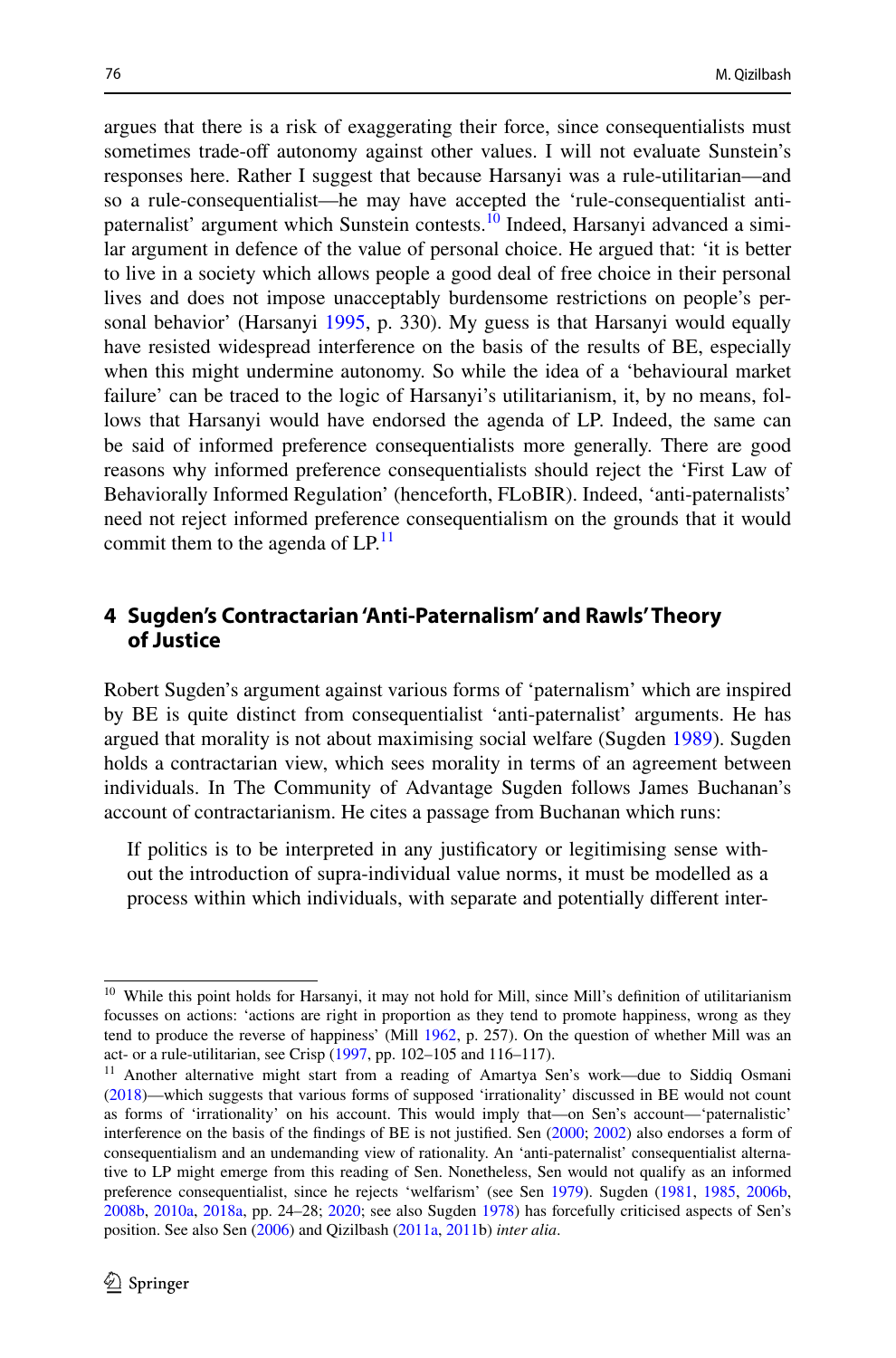argues that there is a risk of exaggerating their force, since consequentialists must sometimes trade-off autonomy against other values. I will not evaluate Sunstein's responses here. Rather I suggest that because Harsanyi was a rule-utilitarian—and so a rule-consequentialist—he may have accepted the 'rule-consequentialist anti-paternalist' argument which Sunstein contests.<sup>[10](#page-10-1)</sup> Indeed, Harsanyi advanced a similar argument in defence of the value of personal choice. He argued that: 'it is better to live in a society which allows people a good deal of free choice in their personal lives and does not impose unacceptably burdensome restrictions on people's per-sonal behavior' (Harsanyi [1995](#page-21-7), p. 330). My guess is that Harsanyi would equally have resisted widespread interference on the basis of the results of BE, especially when this might undermine autonomy. So while the idea of a 'behavioural market failure' can be traced to the logic of Harsanyi's utilitarianism, it, by no means, follows that Harsanyi would have endorsed the agenda of LP. Indeed, the same can be said of informed preference consequentialists more generally. There are good reasons why informed preference consequentialists should reject the 'First Law of Behaviorally Informed Regulation' (henceforth, FLoBIR). Indeed, 'anti-paternalists' need not reject informed preference consequentialism on the grounds that it would commit them to the agenda of  $LP<sup>11</sup>$  $LP<sup>11</sup>$  $LP<sup>11</sup>$ .

## <span id="page-10-0"></span>**4 Sugden's Contractarian 'Anti‑Paternalism' and Rawls' Theory of Justice**

Robert Sugden's argument against various forms of 'paternalism' which are inspired by BE is quite distinct from consequentialist 'anti-paternalist' arguments. He has argued that morality is not about maximising social welfare (Sugden [1989\)](#page-21-0). Sugden holds a contractarian view, which sees morality in terms of an agreement between individuals. In The Community of Advantage Sugden follows James Buchanan's account of contractarianism. He cites a passage from Buchanan which runs:

If politics is to be interpreted in any justificatory or legitimising sense without the introduction of supra-individual value norms, it must be modelled as a process within which individuals, with separate and potentially different inter-

<span id="page-10-1"></span><sup>&</sup>lt;sup>10</sup> While this point holds for Harsanyi, it may not hold for Mill, since Mill's definition of utilitarianism focusses on actions: 'actions are right in proportion as they tend to promote happiness, wrong as they tend to produce the reverse of happiness' (Mill [1962](#page-21-4), p. 257). On the question of whether Mill was an act- or a rule-utilitarian, see Crisp [\(1997](#page-20-0), pp. 102–105 and 116–117).

<span id="page-10-2"></span><sup>&</sup>lt;sup>11</sup> Another alternative might start from a reading of Amartya Sen's work—due to Siddiq Osmani ([2018\)](#page-21-21)—which suggests that various forms of supposed 'irrationality' discussed in BE would not count as forms of 'irrationality' on his account. This would imply that—on Sen's account—'paternalistic' interference on the basis of the findings of BE is not justified. Sen ([2000;](#page-21-22) [2002](#page-21-23)) also endorses a form of consequentialism and an undemanding view of rationality. An 'anti-paternalist' consequentialist alternative to LP might emerge from this reading of Sen. Nonetheless, Sen would not qualify as an informed preference consequentialist, since he rejects 'welfarism' (see Sen [1979](#page-21-1)). Sugden ([1981,](#page-21-24) [1985](#page-21-25), [2006b](#page-21-26), [2008b](#page-22-6), [2010a](#page-22-7), [2018a](#page-22-0), pp. 24–28; [2020;](#page-22-8) see also Sugden [1978](#page-21-27)) has forcefully criticised aspects of Sen's position. See also Sen ([2006\)](#page-21-28) and Qizilbash [\(2011a](#page-21-29), [2011](#page-21-30)b) *inter alia*.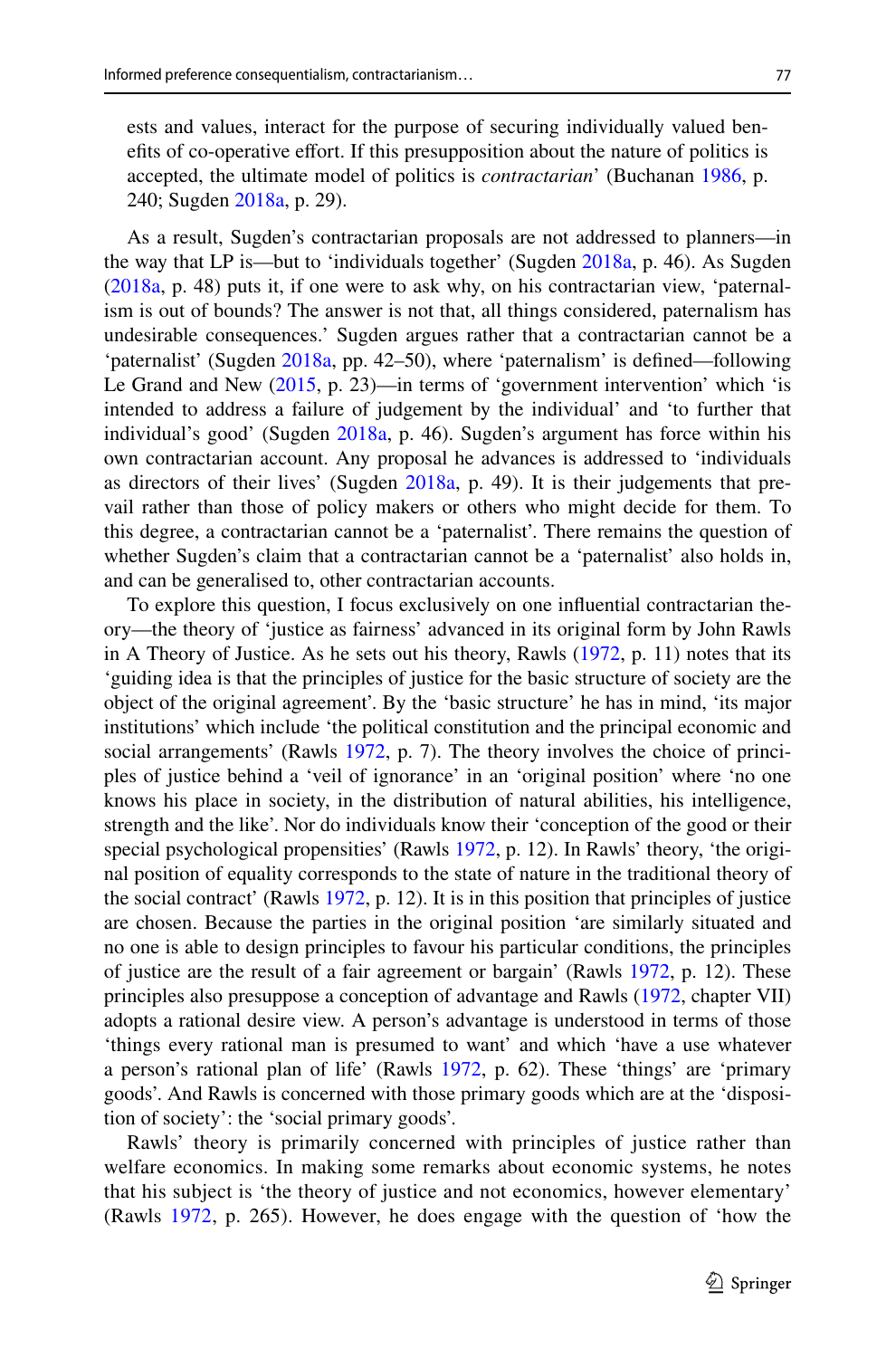ests and values, interact for the purpose of securing individually valued benefits of co-operative effort. If this presupposition about the nature of politics is accepted, the ultimate model of politics is *contractarian*' (Buchanan [1986,](#page-20-9) p. 240; Sugden [2018a,](#page-22-0) p. 29).

As a result, Sugden's contractarian proposals are not addressed to planners—in the way that LP is—but to 'individuals together' (Sugden [2018a](#page-22-0), p. 46). As Sugden [\(2018a,](#page-22-0) p. 48) puts it, if one were to ask why, on his contractarian view, 'paternalism is out of bounds? The answer is not that, all things considered, paternalism has undesirable consequences.' Sugden argues rather that a contractarian cannot be a 'paternalist' (Sugden [2018a,](#page-22-0) pp. 42–50), where 'paternalism' is defined—following Le Grand and New [\(2015](#page-21-31), p. 23)—in terms of 'government intervention' which 'is intended to address a failure of judgement by the individual' and 'to further that individual's good' (Sugden [2018a,](#page-22-0) p. 46). Sugden's argument has force within his own contractarian account. Any proposal he advances is addressed to 'individuals as directors of their lives' (Sugden [2018a](#page-22-0), p. 49). It is their judgements that prevail rather than those of policy makers or others who might decide for them. To this degree, a contractarian cannot be a 'paternalist'. There remains the question of whether Sugden's claim that a contractarian cannot be a 'paternalist' also holds in, and can be generalised to, other contractarian accounts.

To explore this question, I focus exclusively on one influential contractarian theory—the theory of 'justice as fairness' advanced in its original form by John Rawls in A Theory of Justice. As he sets out his theory, Rawls [\(1972](#page-21-32), p. 11) notes that its 'guiding idea is that the principles of justice for the basic structure of society are the object of the original agreement'. By the 'basic structure' he has in mind, 'its major institutions' which include 'the political constitution and the principal economic and social arrangements' (Rawls [1972](#page-21-32), p. 7). The theory involves the choice of principles of justice behind a 'veil of ignorance' in an 'original position' where 'no one knows his place in society, in the distribution of natural abilities, his intelligence, strength and the like'. Nor do individuals know their 'conception of the good or their special psychological propensities' (Rawls [1972](#page-21-32), p. 12). In Rawls' theory, 'the original position of equality corresponds to the state of nature in the traditional theory of the social contract' (Rawls [1972](#page-21-32), p. 12). It is in this position that principles of justice are chosen. Because the parties in the original position 'are similarly situated and no one is able to design principles to favour his particular conditions, the principles of justice are the result of a fair agreement or bargain' (Rawls [1972,](#page-21-32) p. 12). These principles also presuppose a conception of advantage and Rawls [\(1972](#page-21-32), chapter VII) adopts a rational desire view. A person's advantage is understood in terms of those 'things every rational man is presumed to want' and which 'have a use whatever a person's rational plan of life' (Rawls [1972](#page-21-32), p. 62). These 'things' are 'primary goods'. And Rawls is concerned with those primary goods which are at the 'disposition of society': the 'social primary goods'.

Rawls' theory is primarily concerned with principles of justice rather than welfare economics. In making some remarks about economic systems, he notes that his subject is 'the theory of justice and not economics, however elementary' (Rawls [1972](#page-21-32), p. 265). However, he does engage with the question of 'how the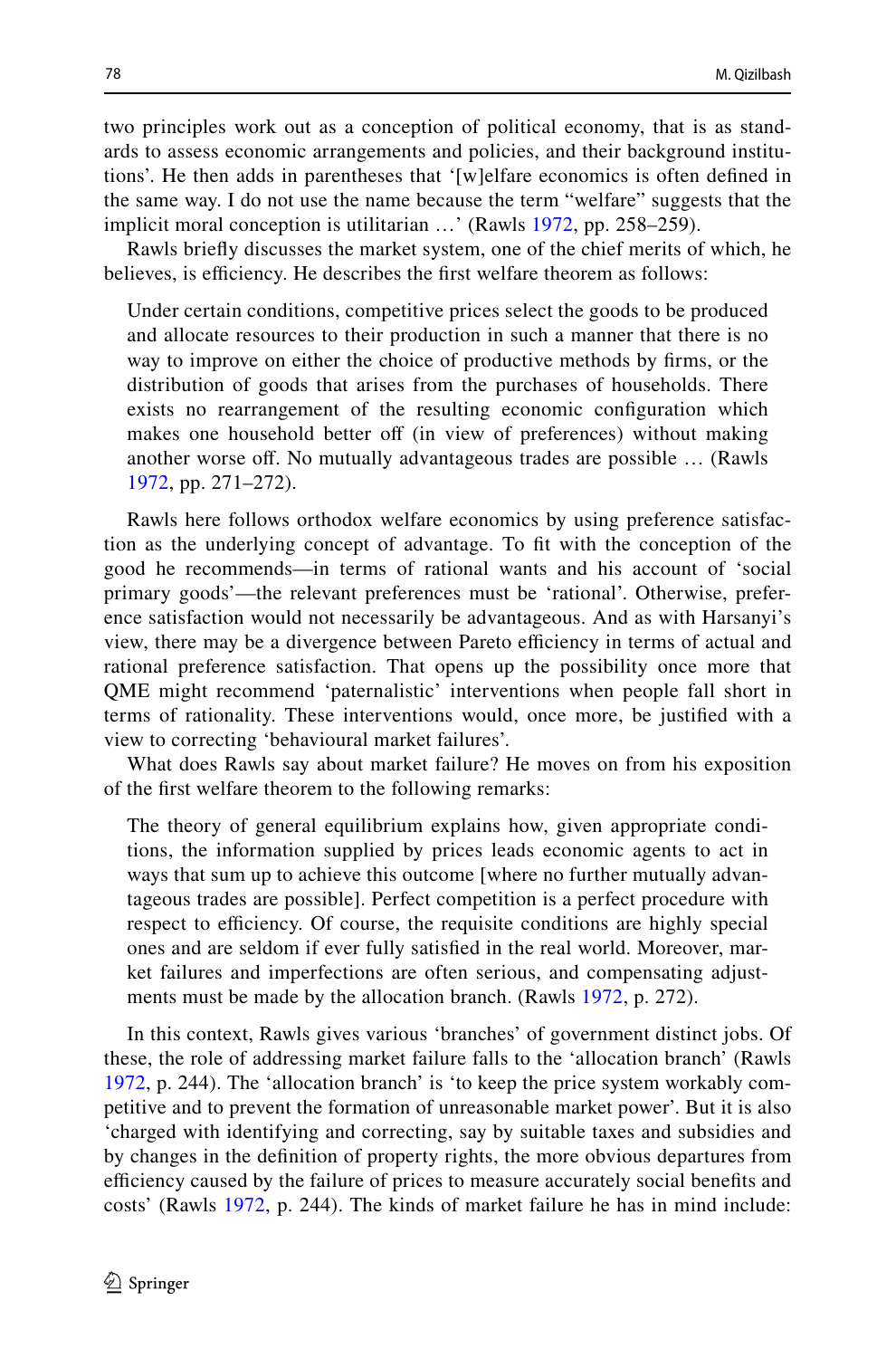two principles work out as a conception of political economy, that is as standards to assess economic arrangements and policies, and their background institutions'. He then adds in parentheses that '[w]elfare economics is often defined in the same way. I do not use the name because the term "welfare" suggests that the implicit moral conception is utilitarian …' (Rawls [1972](#page-21-32), pp. 258–259).

Rawls briefly discusses the market system, one of the chief merits of which, he believes, is efficiency. He describes the first welfare theorem as follows:

Under certain conditions, competitive prices select the goods to be produced and allocate resources to their production in such a manner that there is no way to improve on either the choice of productive methods by firms, or the distribution of goods that arises from the purchases of households. There exists no rearrangement of the resulting economic configuration which makes one household better off (in view of preferences) without making another worse off. No mutually advantageous trades are possible … (Rawls [1972,](#page-21-32) pp. 271–272).

Rawls here follows orthodox welfare economics by using preference satisfaction as the underlying concept of advantage. To fit with the conception of the good he recommends—in terms of rational wants and his account of 'social primary goods'—the relevant preferences must be 'rational'. Otherwise, preference satisfaction would not necessarily be advantageous. And as with Harsanyi's view, there may be a divergence between Pareto efficiency in terms of actual and rational preference satisfaction. That opens up the possibility once more that QME might recommend 'paternalistic' interventions when people fall short in terms of rationality. These interventions would, once more, be justified with a view to correcting 'behavioural market failures'.

What does Rawls say about market failure? He moves on from his exposition of the first welfare theorem to the following remarks:

The theory of general equilibrium explains how, given appropriate conditions, the information supplied by prices leads economic agents to act in ways that sum up to achieve this outcome [where no further mutually advantageous trades are possible]. Perfect competition is a perfect procedure with respect to efficiency. Of course, the requisite conditions are highly special ones and are seldom if ever fully satisfied in the real world. Moreover, market failures and imperfections are often serious, and compensating adjustments must be made by the allocation branch. (Rawls [1972,](#page-21-32) p. 272).

In this context, Rawls gives various 'branches' of government distinct jobs. Of these, the role of addressing market failure falls to the 'allocation branch' (Rawls [1972,](#page-21-32) p. 244). The 'allocation branch' is 'to keep the price system workably competitive and to prevent the formation of unreasonable market power'. But it is also 'charged with identifying and correcting, say by suitable taxes and subsidies and by changes in the definition of property rights, the more obvious departures from efficiency caused by the failure of prices to measure accurately social benefits and costs' (Rawls [1972](#page-21-32), p. 244). The kinds of market failure he has in mind include: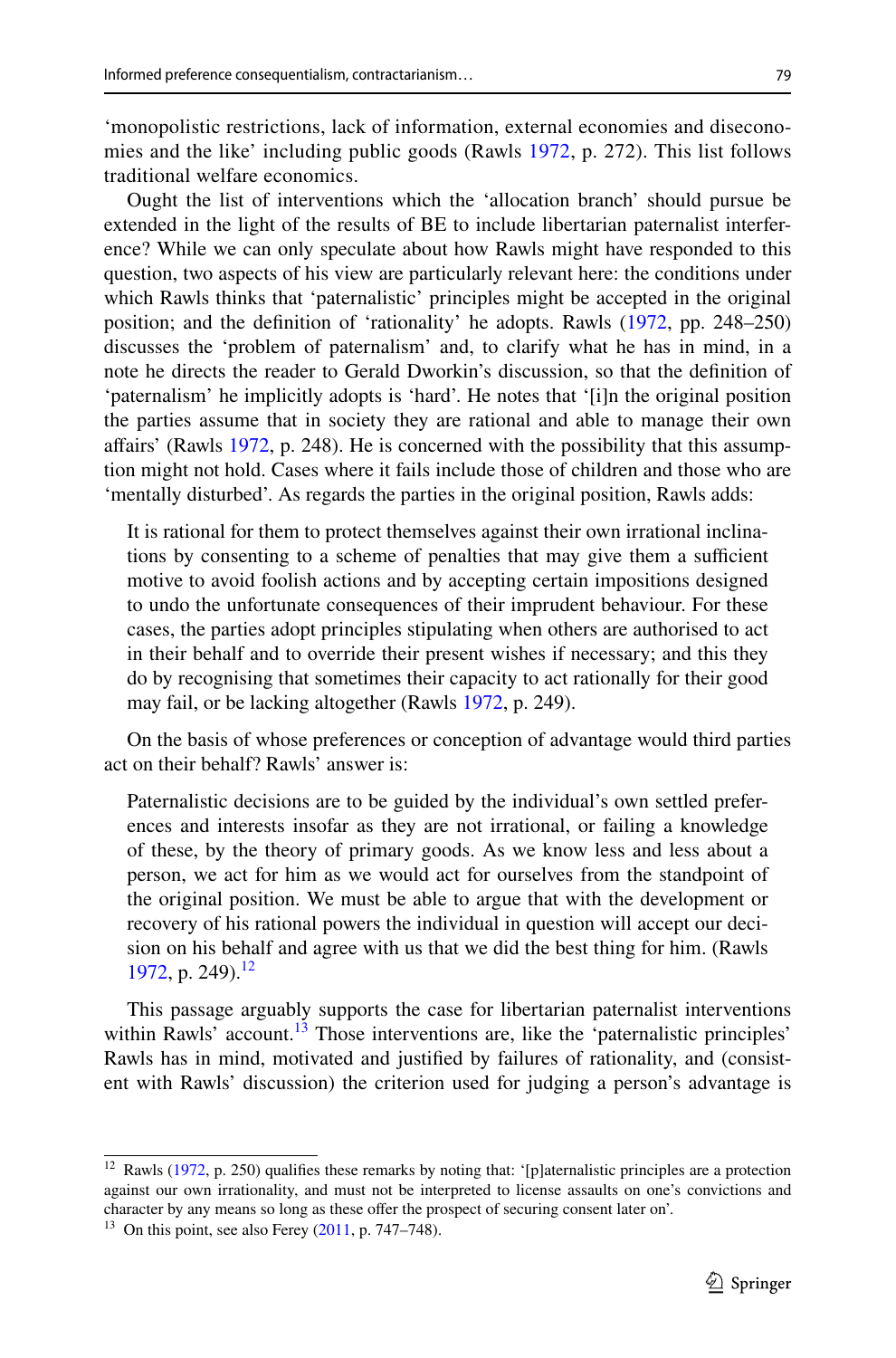'monopolistic restrictions, lack of information, external economies and diseconomies and the like' including public goods (Rawls [1972,](#page-21-32) p. 272). This list follows traditional welfare economics.

Ought the list of interventions which the 'allocation branch' should pursue be extended in the light of the results of BE to include libertarian paternalist interference? While we can only speculate about how Rawls might have responded to this question, two aspects of his view are particularly relevant here: the conditions under which Rawls thinks that 'paternalistic' principles might be accepted in the original position; and the definition of 'rationality' he adopts. Rawls [\(1972](#page-21-32), pp. 248–250) discusses the 'problem of paternalism' and, to clarify what he has in mind, in a note he directs the reader to Gerald Dworkin's discussion, so that the definition of 'paternalism' he implicitly adopts is 'hard'. He notes that '[i]n the original position the parties assume that in society they are rational and able to manage their own affairs' (Rawls [1972](#page-21-32), p. 248). He is concerned with the possibility that this assumption might not hold. Cases where it fails include those of children and those who are 'mentally disturbed'. As regards the parties in the original position, Rawls adds:

It is rational for them to protect themselves against their own irrational inclinations by consenting to a scheme of penalties that may give them a sufficient motive to avoid foolish actions and by accepting certain impositions designed to undo the unfortunate consequences of their imprudent behaviour. For these cases, the parties adopt principles stipulating when others are authorised to act in their behalf and to override their present wishes if necessary; and this they do by recognising that sometimes their capacity to act rationally for their good may fail, or be lacking altogether (Rawls [1972,](#page-21-32) p. 249).

On the basis of whose preferences or conception of advantage would third parties act on their behalf? Rawls' answer is:

Paternalistic decisions are to be guided by the individual's own settled preferences and interests insofar as they are not irrational, or failing a knowledge of these, by the theory of primary goods. As we know less and less about a person, we act for him as we would act for ourselves from the standpoint of the original position. We must be able to argue that with the development or recovery of his rational powers the individual in question will accept our decision on his behalf and agree with us that we did the best thing for him. (Rawls [1972](#page-21-32), p. 249).<sup>[12](#page-13-0)</sup>

This passage arguably supports the case for libertarian paternalist interventions within Rawls' account.<sup>[13](#page-13-1)</sup> Those interventions are, like the 'paternalistic principles' Rawls has in mind, motivated and justified by failures of rationality, and (consistent with Rawls' discussion) the criterion used for judging a person's advantage is

<span id="page-13-0"></span><sup>&</sup>lt;sup>12</sup> Rawls ([1972,](#page-21-32) p. 250) qualifies these remarks by noting that: '[p]aternalistic principles are a protection against our own irrationality, and must not be interpreted to license assaults on one's convictions and character by any means so long as these offer the prospect of securing consent later on'.

<span id="page-13-1"></span> $13$  On this point, see also Ferey [\(2011](#page-20-10), p. 747–748).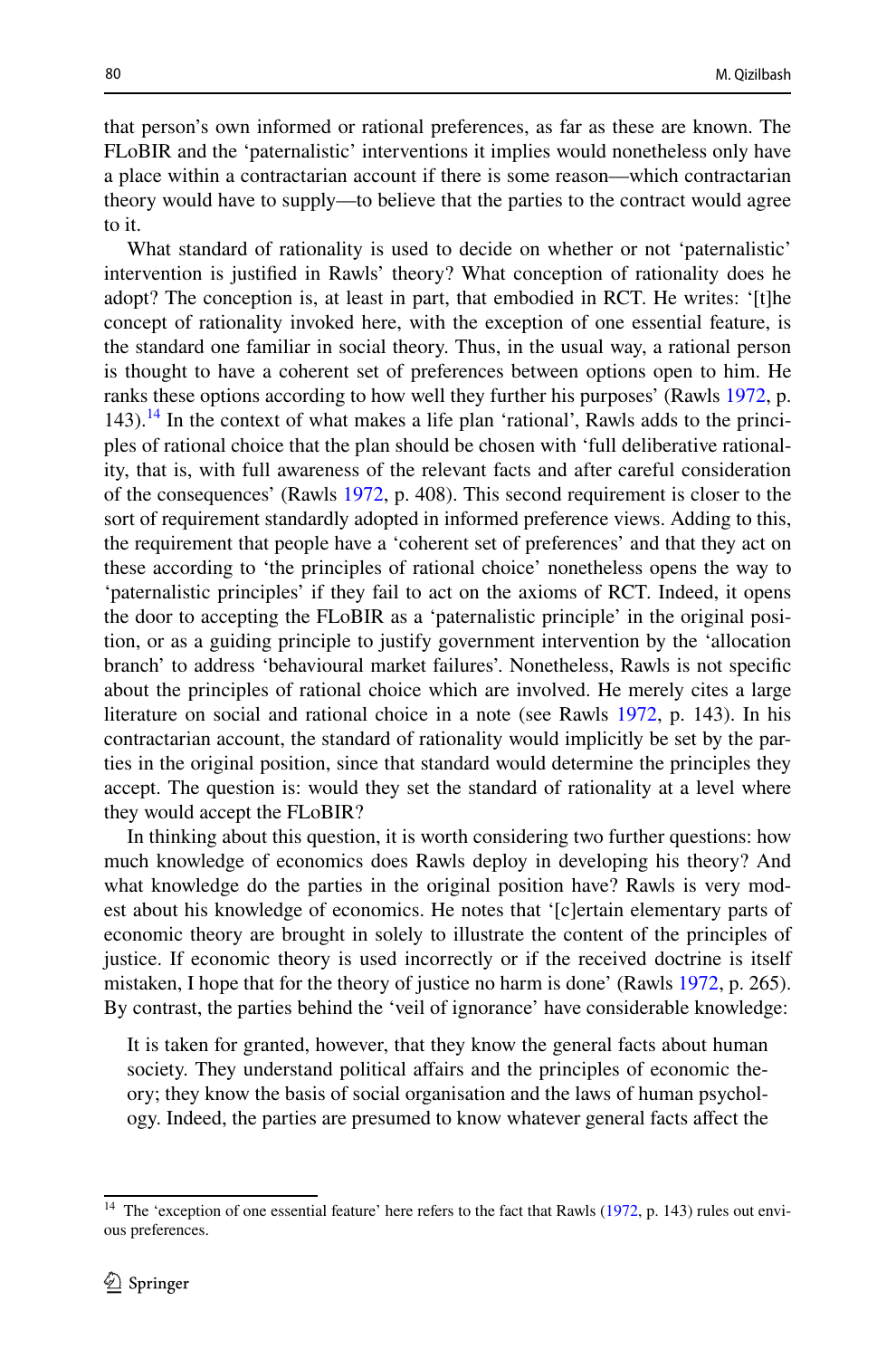that person's own informed or rational preferences, as far as these are known. The FLoBIR and the 'paternalistic' interventions it implies would nonetheless only have a place within a contractarian account if there is some reason—which contractarian theory would have to supply—to believe that the parties to the contract would agree to it.

What standard of rationality is used to decide on whether or not 'paternalistic' intervention is justified in Rawls' theory? What conception of rationality does he adopt? The conception is, at least in part, that embodied in RCT. He writes: '[t]he concept of rationality invoked here, with the exception of one essential feature, is the standard one familiar in social theory. Thus, in the usual way, a rational person is thought to have a coherent set of preferences between options open to him. He ranks these options according to how well they further his purposes' (Rawls [1972,](#page-21-32) p. [14](#page-14-0)3).<sup>14</sup> In the context of what makes a life plan 'rational', Rawls adds to the principles of rational choice that the plan should be chosen with 'full deliberative rationality, that is, with full awareness of the relevant facts and after careful consideration of the consequences' (Rawls [1972](#page-21-32), p. 408). This second requirement is closer to the sort of requirement standardly adopted in informed preference views. Adding to this, the requirement that people have a 'coherent set of preferences' and that they act on these according to 'the principles of rational choice' nonetheless opens the way to 'paternalistic principles' if they fail to act on the axioms of RCT. Indeed, it opens the door to accepting the FLoBIR as a 'paternalistic principle' in the original position, or as a guiding principle to justify government intervention by the 'allocation branch' to address 'behavioural market failures'. Nonetheless, Rawls is not specific about the principles of rational choice which are involved. He merely cites a large literature on social and rational choice in a note (see Rawls [1972](#page-21-32), p. 143). In his contractarian account, the standard of rationality would implicitly be set by the parties in the original position, since that standard would determine the principles they accept. The question is: would they set the standard of rationality at a level where they would accept the FLoBIR?

In thinking about this question, it is worth considering two further questions: how much knowledge of economics does Rawls deploy in developing his theory? And what knowledge do the parties in the original position have? Rawls is very modest about his knowledge of economics. He notes that '[c]ertain elementary parts of economic theory are brought in solely to illustrate the content of the principles of justice. If economic theory is used incorrectly or if the received doctrine is itself mistaken, I hope that for the theory of justice no harm is done' (Rawls [1972,](#page-21-32) p. 265). By contrast, the parties behind the 'veil of ignorance' have considerable knowledge:

It is taken for granted, however, that they know the general facts about human society. They understand political affairs and the principles of economic theory; they know the basis of social organisation and the laws of human psychology. Indeed, the parties are presumed to know whatever general facts affect the

<span id="page-14-0"></span><sup>&</sup>lt;sup>14</sup> The 'exception of one essential feature' here refers to the fact that Rawls [\(1972](#page-21-32), p. 143) rules out envious preferences.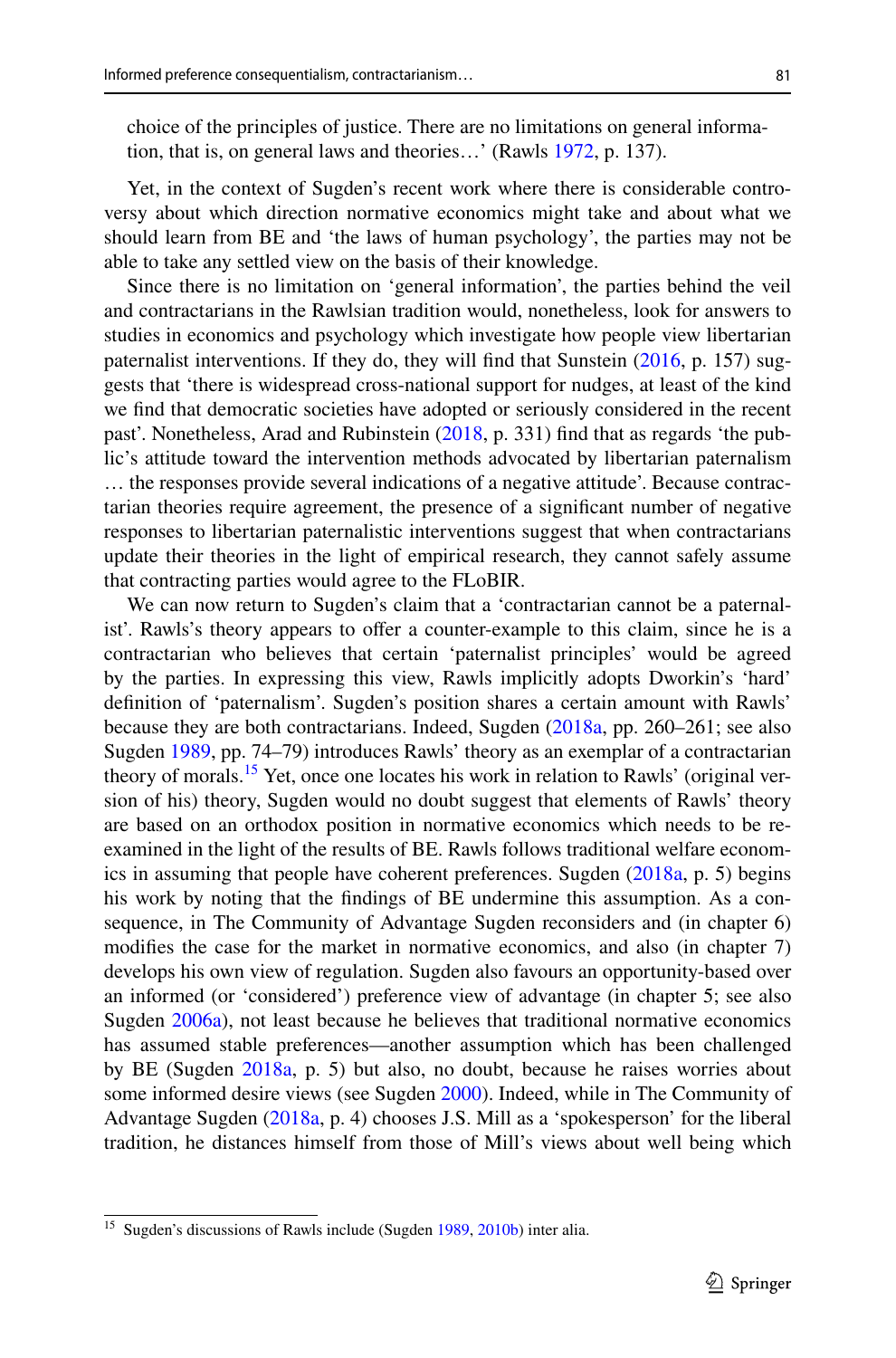choice of the principles of justice. There are no limitations on general information, that is, on general laws and theories…' (Rawls [1972,](#page-21-32) p. 137).

Yet, in the context of Sugden's recent work where there is considerable controversy about which direction normative economics might take and about what we should learn from BE and 'the laws of human psychology', the parties may not be able to take any settled view on the basis of their knowledge.

Since there is no limitation on 'general information', the parties behind the veil and contractarians in the Rawlsian tradition would, nonetheless, look for answers to studies in economics and psychology which investigate how people view libertarian paternalist interventions. If they do, they will find that Sunstein [\(2016](#page-22-9), p. 157) suggests that 'there is widespread cross-national support for nudges, at least of the kind we find that democratic societies have adopted or seriously considered in the recent past'. Nonetheless, Arad and Rubinstein ([2018,](#page-20-11) p. 331) find that as regards 'the public's attitude toward the intervention methods advocated by libertarian paternalism … the responses provide several indications of a negative attitude'. Because contractarian theories require agreement, the presence of a significant number of negative responses to libertarian paternalistic interventions suggest that when contractarians update their theories in the light of empirical research, they cannot safely assume that contracting parties would agree to the FLoBIR.

We can now return to Sugden's claim that a 'contractarian cannot be a paternalist'. Rawls's theory appears to offer a counter-example to this claim, since he is a contractarian who believes that certain 'paternalist principles' would be agreed by the parties. In expressing this view, Rawls implicitly adopts Dworkin's 'hard' definition of 'paternalism'. Sugden's position shares a certain amount with Rawls' because they are both contractarians. Indeed, Sugden [\(2018a,](#page-22-0) pp. 260–261; see also Sugden [1989](#page-21-0), pp. 74–79) introduces Rawls' theory as an exemplar of a contractarian theory of morals.<sup>[15](#page-15-0)</sup> Yet, once one locates his work in relation to Rawls' (original version of his) theory, Sugden would no doubt suggest that elements of Rawls' theory are based on an orthodox position in normative economics which needs to be reexamined in the light of the results of BE. Rawls follows traditional welfare economics in assuming that people have coherent preferences. Sugden ([2018a,](#page-22-0) p. 5) begins his work by noting that the findings of BE undermine this assumption. As a consequence, in The Community of Advantage Sugden reconsiders and (in chapter 6) modifies the case for the market in normative economics, and also (in chapter 7) develops his own view of regulation. Sugden also favours an opportunity-based over an informed (or 'considered') preference view of advantage (in chapter 5; see also Sugden [2006a\)](#page-21-33), not least because he believes that traditional normative economics has assumed stable preferences—another assumption which has been challenged by BE (Sugden [2018a](#page-22-0), p. 5) but also, no doubt, because he raises worries about some informed desire views (see Sugden [2000](#page-21-34)). Indeed, while in The Community of Advantage Sugden [\(2018a,](#page-22-0) p. 4) chooses J.S. Mill as a 'spokesperson' for the liberal tradition, he distances himself from those of Mill's views about well being which

<span id="page-15-0"></span><sup>&</sup>lt;sup>15</sup> Sugden's discussions of Rawls include (Sugden [1989](#page-21-0), [2010b](#page-22-10)) inter alia.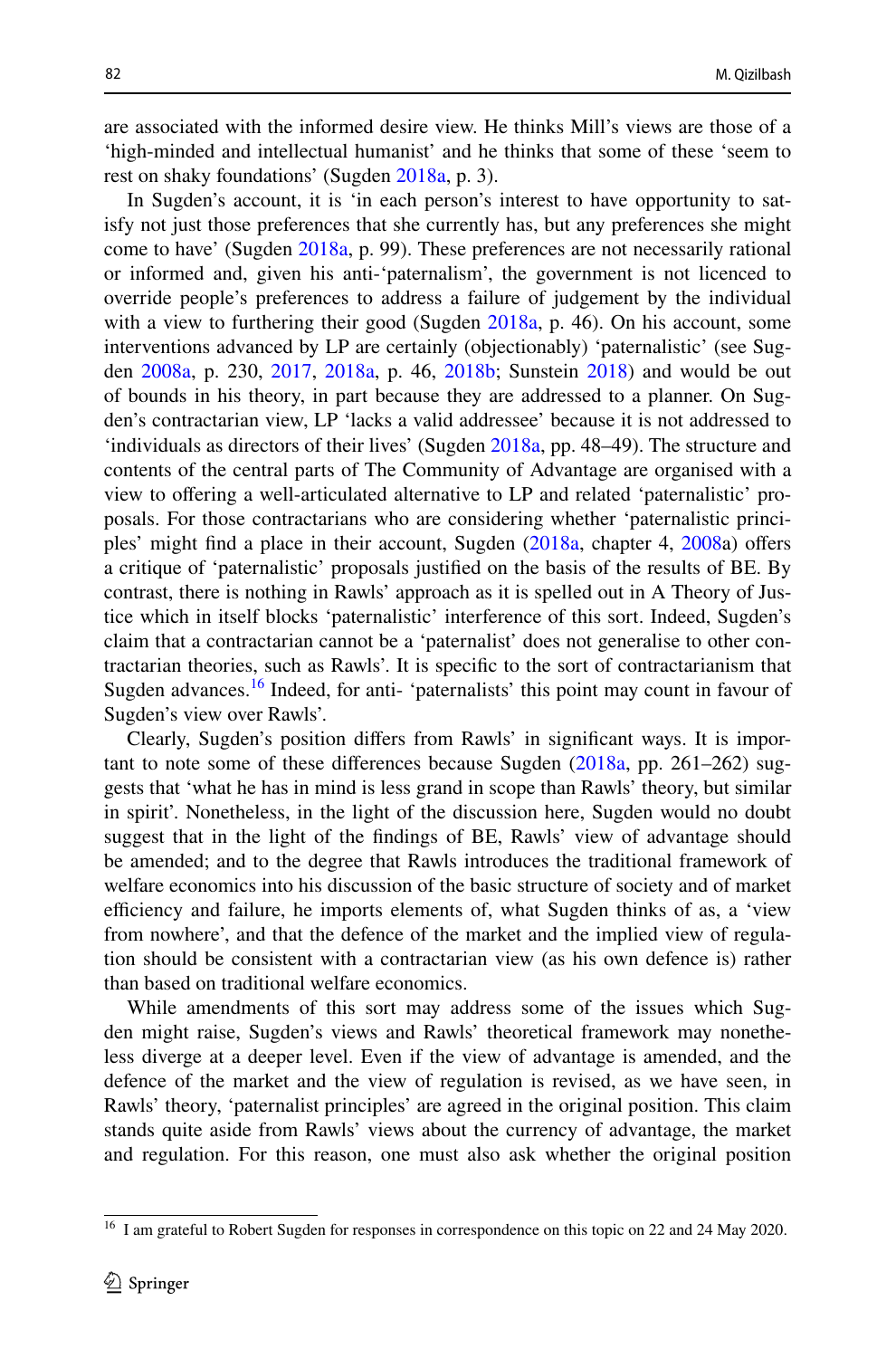are associated with the informed desire view. He thinks Mill's views are those of a 'high-minded and intellectual humanist' and he thinks that some of these 'seem to rest on shaky foundations' (Sugden [2018a,](#page-22-0) p. 3).

In Sugden's account, it is 'in each person's interest to have opportunity to satisfy not just those preferences that she currently has, but any preferences she might come to have' (Sugden [2018a,](#page-22-0) p. 99). These preferences are not necessarily rational or informed and, given his anti-'paternalism', the government is not licenced to override people's preferences to address a failure of judgement by the individual with a view to furthering their good (Sugden  $2018a$ , p. 46). On his account, some interventions advanced by LP are certainly (objectionably) 'paternalistic' (see Sugden [2008a,](#page-21-16) p. 230, [2017](#page-22-11), [2018a,](#page-21-16) p. 46, [2018b](#page-22-12); Sunstein [2018](#page-22-13)) and would be out of bounds in his theory, in part because they are addressed to a planner. On Sugden's contractarian view, LP 'lacks a valid addressee' because it is not addressed to 'individuals as directors of their lives' (Sugden [2018a](#page-22-0), pp. 48–49). The structure and contents of the central parts of The Community of Advantage are organised with a view to offering a well-articulated alternative to LP and related 'paternalistic' proposals. For those contractarians who are considering whether 'paternalistic principles' might find a place in their account, Sugden ([2018a](#page-22-0), chapter 4, [2008](#page-21-16)a) offers a critique of 'paternalistic' proposals justified on the basis of the results of BE. By contrast, there is nothing in Rawls' approach as it is spelled out in A Theory of Justice which in itself blocks 'paternalistic' interference of this sort. Indeed, Sugden's claim that a contractarian cannot be a 'paternalist' does not generalise to other contractarian theories, such as Rawls'. It is specific to the sort of contractarianism that Sugden advances.<sup>[16](#page-16-0)</sup> Indeed, for anti- 'paternalists' this point may count in favour of Sugden's view over Rawls'.

Clearly, Sugden's position differs from Rawls' in significant ways. It is important to note some of these differences because Sugden [\(2018a,](#page-22-0) pp. 261–262) suggests that 'what he has in mind is less grand in scope than Rawls' theory, but similar in spirit'. Nonetheless, in the light of the discussion here, Sugden would no doubt suggest that in the light of the findings of BE, Rawls' view of advantage should be amended; and to the degree that Rawls introduces the traditional framework of welfare economics into his discussion of the basic structure of society and of market efficiency and failure, he imports elements of, what Sugden thinks of as, a 'view from nowhere', and that the defence of the market and the implied view of regulation should be consistent with a contractarian view (as his own defence is) rather than based on traditional welfare economics.

While amendments of this sort may address some of the issues which Sugden might raise, Sugden's views and Rawls' theoretical framework may nonetheless diverge at a deeper level. Even if the view of advantage is amended, and the defence of the market and the view of regulation is revised, as we have seen, in Rawls' theory, 'paternalist principles' are agreed in the original position. This claim stands quite aside from Rawls' views about the currency of advantage, the market and regulation. For this reason, one must also ask whether the original position

<span id="page-16-0"></span><sup>&</sup>lt;sup>16</sup> I am grateful to Robert Sugden for responses in correspondence on this topic on 22 and 24 May 2020.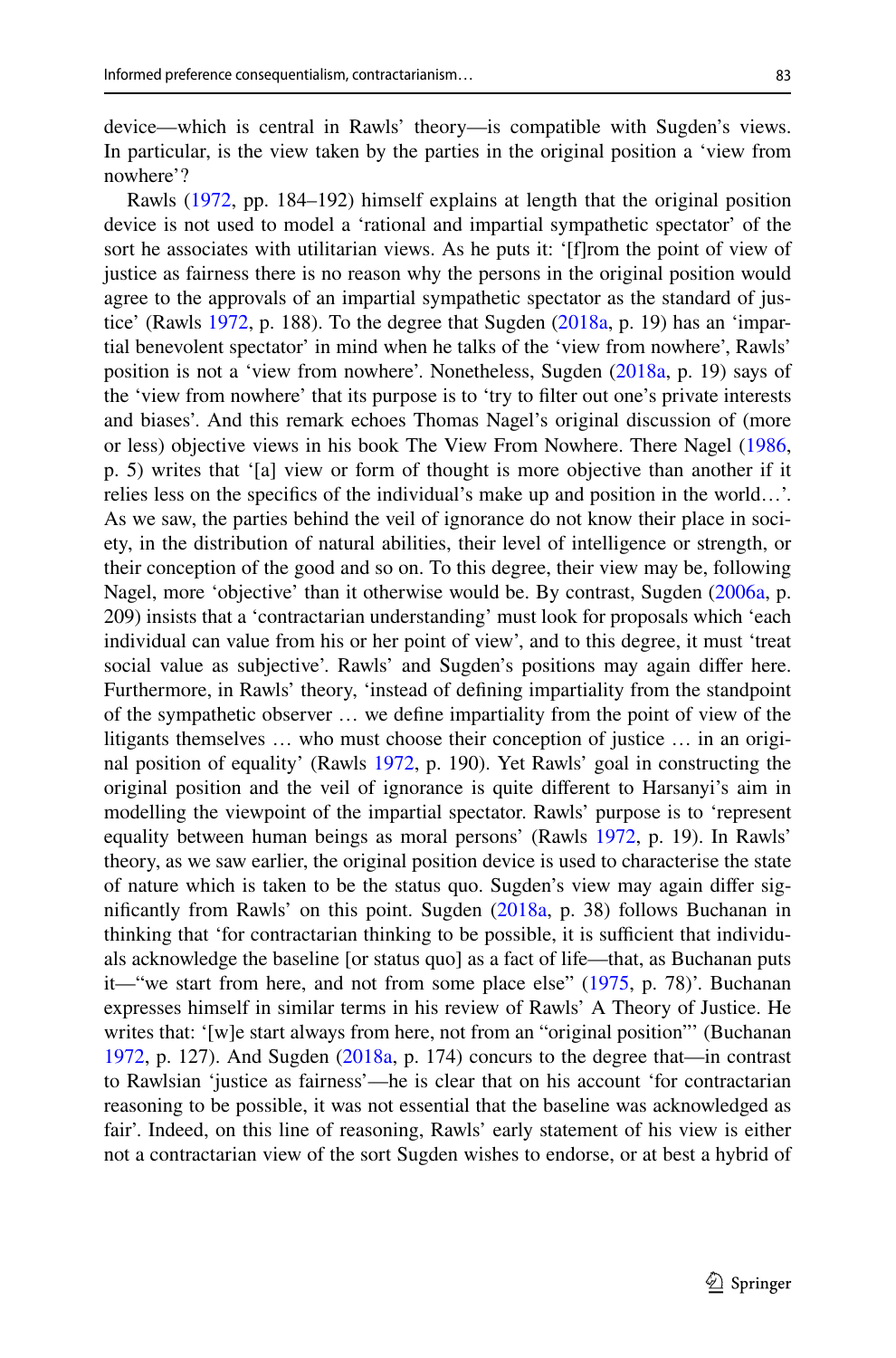device—which is central in Rawls' theory—is compatible with Sugden's views. In particular, is the view taken by the parties in the original position a 'view from nowhere'?

Rawls ([1972,](#page-21-32) pp. 184–192) himself explains at length that the original position device is not used to model a 'rational and impartial sympathetic spectator' of the sort he associates with utilitarian views. As he puts it: '[f]rom the point of view of justice as fairness there is no reason why the persons in the original position would agree to the approvals of an impartial sympathetic spectator as the standard of justice' (Rawls [1972,](#page-21-32) p. 188). To the degree that Sugden ([2018a](#page-22-0), p. 19) has an 'impartial benevolent spectator' in mind when he talks of the 'view from nowhere', Rawls' position is not a 'view from nowhere'. Nonetheless, Sugden [\(2018a,](#page-22-0) p. 19) says of the 'view from nowhere' that its purpose is to 'try to filter out one's private interests and biases'. And this remark echoes Thomas Nagel's original discussion of (more or less) objective views in his book The View From Nowhere. There Nagel ([1986,](#page-21-2) p. 5) writes that '[a] view or form of thought is more objective than another if it relies less on the specifics of the individual's make up and position in the world…'. As we saw, the parties behind the veil of ignorance do not know their place in society, in the distribution of natural abilities, their level of intelligence or strength, or their conception of the good and so on. To this degree, their view may be, following Nagel, more 'objective' than it otherwise would be. By contrast, Sugden ([2006a](#page-21-33), p. 209) insists that a 'contractarian understanding' must look for proposals which 'each individual can value from his or her point of view', and to this degree, it must 'treat social value as subjective'. Rawls' and Sugden's positions may again differ here. Furthermore, in Rawls' theory, 'instead of defining impartiality from the standpoint of the sympathetic observer … we define impartiality from the point of view of the litigants themselves … who must choose their conception of justice … in an original position of equality' (Rawls [1972](#page-21-32), p. 190). Yet Rawls' goal in constructing the original position and the veil of ignorance is quite different to Harsanyi's aim in modelling the viewpoint of the impartial spectator. Rawls' purpose is to 'represent equality between human beings as moral persons' (Rawls [1972](#page-21-32), p. 19). In Rawls' theory, as we saw earlier, the original position device is used to characterise the state of nature which is taken to be the status quo. Sugden's view may again differ significantly from Rawls' on this point. Sugden ([2018a](#page-22-0), p. 38) follows Buchanan in thinking that 'for contractarian thinking to be possible, it is sufficient that individuals acknowledge the baseline [or status quo] as a fact of life—that, as Buchanan puts it—"we start from here, and not from some place else" ([1975,](#page-20-12) p. 78)'. Buchanan expresses himself in similar terms in his review of Rawls' A Theory of Justice. He writes that: '[w]e start always from here, not from an "original position"' (Buchanan [1972](#page-20-13), p. 127). And Sugden [\(2018a,](#page-22-0) p. 174) concurs to the degree that—in contrast to Rawlsian 'justice as fairness'—he is clear that on his account 'for contractarian reasoning to be possible, it was not essential that the baseline was acknowledged as fair'. Indeed, on this line of reasoning, Rawls' early statement of his view is either not a contractarian view of the sort Sugden wishes to endorse, or at best a hybrid of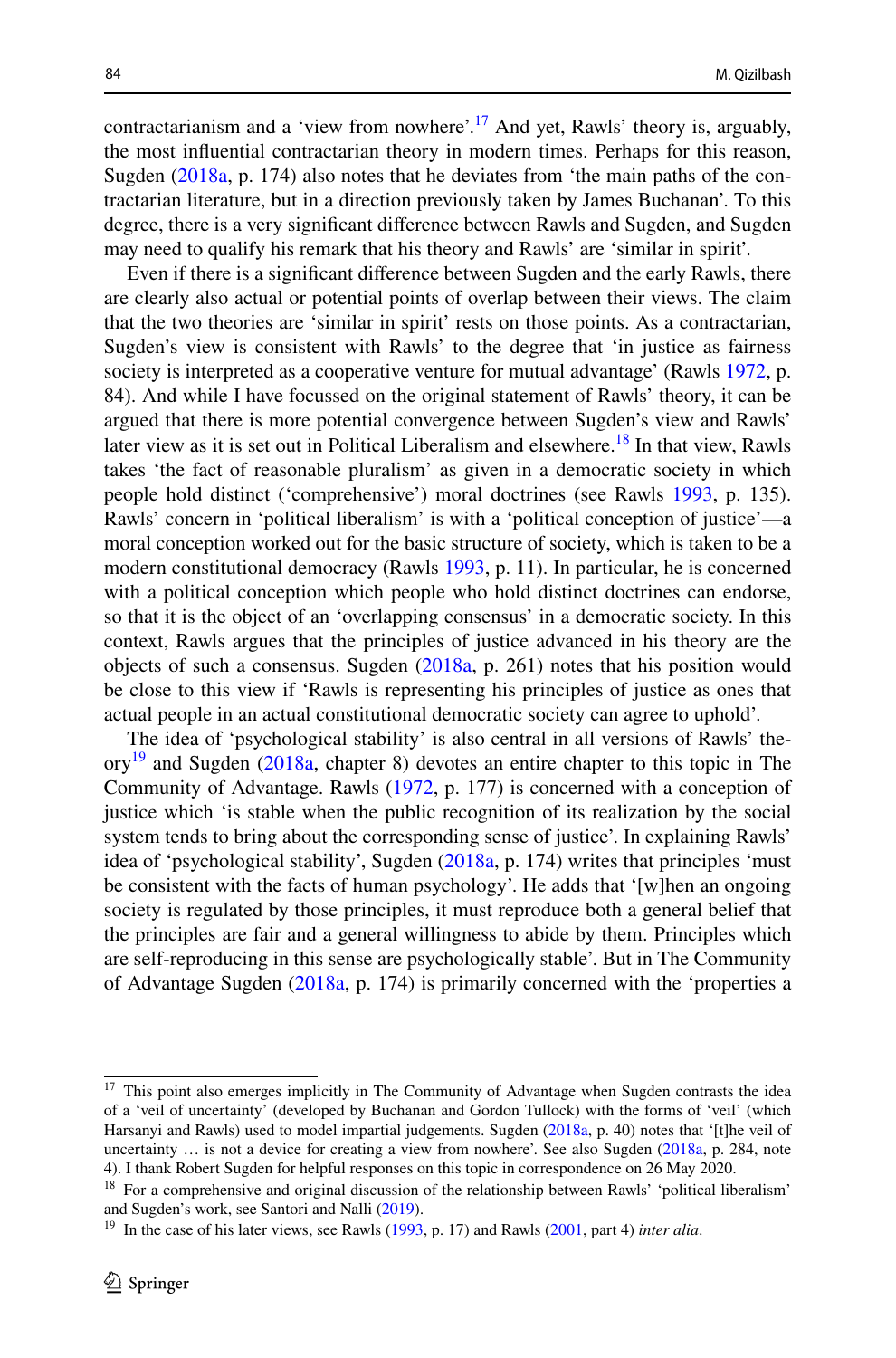contractarianism and a 'view from nowhere'.<sup>[17](#page-18-0)</sup> And yet, Rawls' theory is, arguably, the most influential contractarian theory in modern times. Perhaps for this reason, Sugden [\(2018a,](#page-22-0) p. 174) also notes that he deviates from 'the main paths of the contractarian literature, but in a direction previously taken by James Buchanan'. To this degree, there is a very significant difference between Rawls and Sugden, and Sugden may need to qualify his remark that his theory and Rawls' are 'similar in spirit'.

Even if there is a significant difference between Sugden and the early Rawls, there are clearly also actual or potential points of overlap between their views. The claim that the two theories are 'similar in spirit' rests on those points. As a contractarian, Sugden's view is consistent with Rawls' to the degree that 'in justice as fairness society is interpreted as a cooperative venture for mutual advantage' (Rawls [1972,](#page-21-32) p. 84). And while I have focussed on the original statement of Rawls' theory, it can be argued that there is more potential convergence between Sugden's view and Rawls' later view as it is set out in Political Liberalism and elsewhere.<sup>[18](#page-18-1)</sup> In that view, Rawls takes 'the fact of reasonable pluralism' as given in a democratic society in which people hold distinct ('comprehensive') moral doctrines (see Rawls [1993,](#page-21-35) p. 135). Rawls' concern in 'political liberalism' is with a 'political conception of justice'—a moral conception worked out for the basic structure of society, which is taken to be a modern constitutional democracy (Rawls [1993,](#page-21-35) p. 11). In particular, he is concerned with a political conception which people who hold distinct doctrines can endorse, so that it is the object of an 'overlapping consensus' in a democratic society. In this context, Rawls argues that the principles of justice advanced in his theory are the objects of such a consensus. Sugden [\(2018a](#page-22-0), p. 261) notes that his position would be close to this view if 'Rawls is representing his principles of justice as ones that actual people in an actual constitutional democratic society can agree to uphold'.

The idea of 'psychological stability' is also central in all versions of Rawls' the- $\text{ory}^{19}$  $\text{ory}^{19}$  $\text{ory}^{19}$  and Sugden [\(2018a,](#page-22-0) chapter 8) devotes an entire chapter to this topic in The Community of Advantage. Rawls ([1972,](#page-21-32) p. 177) is concerned with a conception of justice which 'is stable when the public recognition of its realization by the social system tends to bring about the corresponding sense of justice'. In explaining Rawls' idea of 'psychological stability', Sugden [\(2018a,](#page-22-0) p. 174) writes that principles 'must be consistent with the facts of human psychology'. He adds that '[w]hen an ongoing society is regulated by those principles, it must reproduce both a general belief that the principles are fair and a general willingness to abide by them. Principles which are self-reproducing in this sense are psychologically stable'. But in The Community of Advantage Sugden ([2018a](#page-22-0), p. 174) is primarily concerned with the 'properties a

<span id="page-18-0"></span><sup>&</sup>lt;sup>17</sup> This point also emerges implicitly in The Community of Advantage when Sugden contrasts the idea of a 'veil of uncertainty' (developed by Buchanan and Gordon Tullock) with the forms of 'veil' (which Harsanyi and Rawls) used to model impartial judgements. Sugden [\(2018a,](#page-22-0) p. 40) notes that '[t]he veil of uncertainty ... is not a device for creating a view from nowhere'. See also Sugden [\(2018a,](#page-22-0) p. 284, note 4). I thank Robert Sugden for helpful responses on this topic in correspondence on 26 May 2020.

<span id="page-18-1"></span><sup>&</sup>lt;sup>18</sup> For a comprehensive and original discussion of the relationship between Rawls' 'political liberalism' and Sugden's work, see Santori and Nalli [\(2019](#page-21-36)).

<span id="page-18-2"></span><sup>19</sup> In the case of his later views, see Rawls ([1993,](#page-21-35) p. 17) and Rawls [\(2001](#page-21-37), part 4) *inter alia*.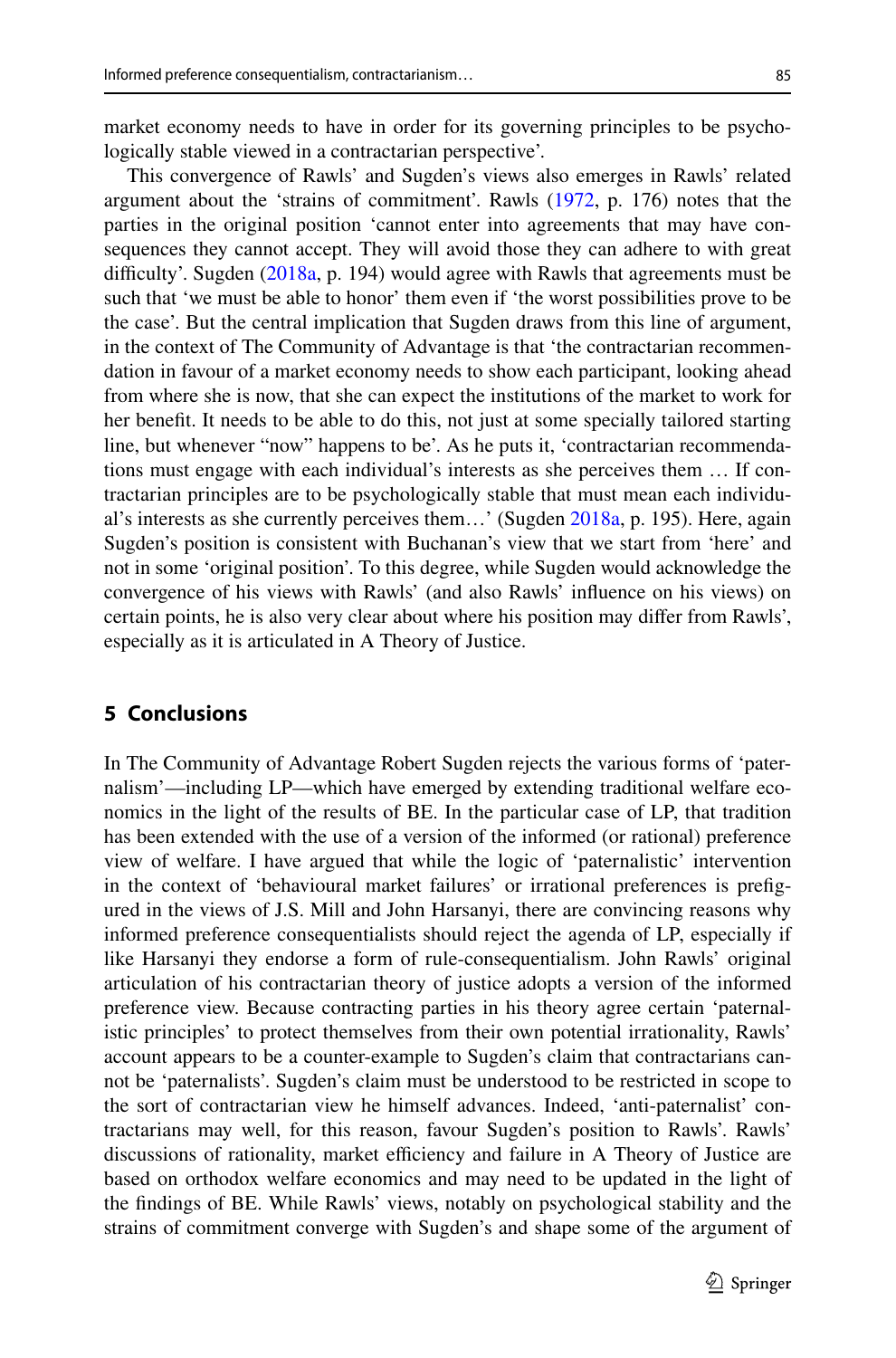market economy needs to have in order for its governing principles to be psychologically stable viewed in a contractarian perspective'.

This convergence of Rawls' and Sugden's views also emerges in Rawls' related argument about the 'strains of commitment'. Rawls ([1972,](#page-21-32) p. 176) notes that the parties in the original position 'cannot enter into agreements that may have consequences they cannot accept. They will avoid those they can adhere to with great difficulty'. Sugden ([2018a](#page-22-0), p. 194) would agree with Rawls that agreements must be such that 'we must be able to honor' them even if 'the worst possibilities prove to be the case'. But the central implication that Sugden draws from this line of argument, in the context of The Community of Advantage is that 'the contractarian recommendation in favour of a market economy needs to show each participant, looking ahead from where she is now, that she can expect the institutions of the market to work for her benefit. It needs to be able to do this, not just at some specially tailored starting line, but whenever "now" happens to be'. As he puts it, 'contractarian recommendations must engage with each individual's interests as she perceives them … If contractarian principles are to be psychologically stable that must mean each individual's interests as she currently perceives them…' (Sugden [2018a](#page-22-0), p. 195). Here, again Sugden's position is consistent with Buchanan's view that we start from 'here' and not in some 'original position'. To this degree, while Sugden would acknowledge the convergence of his views with Rawls' (and also Rawls' influence on his views) on certain points, he is also very clear about where his position may differ from Rawls', especially as it is articulated in A Theory of Justice.

### <span id="page-19-0"></span>**5 Conclusions**

In The Community of Advantage Robert Sugden rejects the various forms of 'paternalism'—including LP—which have emerged by extending traditional welfare economics in the light of the results of BE. In the particular case of LP, that tradition has been extended with the use of a version of the informed (or rational) preference view of welfare. I have argued that while the logic of 'paternalistic' intervention in the context of 'behavioural market failures' or irrational preferences is prefigured in the views of J.S. Mill and John Harsanyi, there are convincing reasons why informed preference consequentialists should reject the agenda of LP, especially if like Harsanyi they endorse a form of rule-consequentialism. John Rawls' original articulation of his contractarian theory of justice adopts a version of the informed preference view. Because contracting parties in his theory agree certain 'paternalistic principles' to protect themselves from their own potential irrationality, Rawls' account appears to be a counter-example to Sugden's claim that contractarians cannot be 'paternalists'. Sugden's claim must be understood to be restricted in scope to the sort of contractarian view he himself advances. Indeed, 'anti-paternalist' contractarians may well, for this reason, favour Sugden's position to Rawls'. Rawls' discussions of rationality, market efficiency and failure in A Theory of Justice are based on orthodox welfare economics and may need to be updated in the light of the findings of BE. While Rawls' views, notably on psychological stability and the strains of commitment converge with Sugden's and shape some of the argument of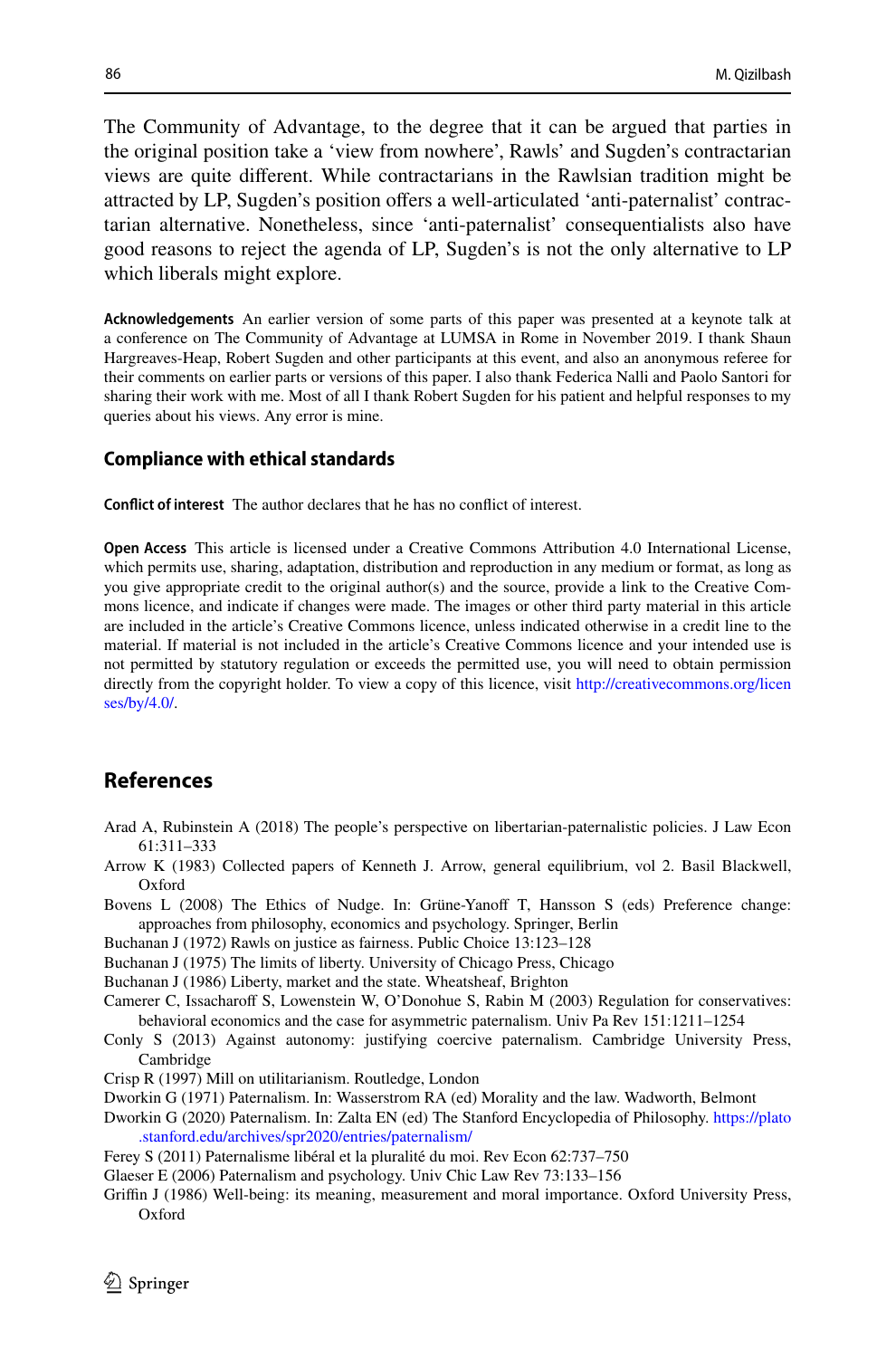The Community of Advantage, to the degree that it can be argued that parties in the original position take a 'view from nowhere', Rawls' and Sugden's contractarian views are quite different. While contractarians in the Rawlsian tradition might be attracted by LP, Sugden's position offers a well-articulated 'anti-paternalist' contractarian alternative. Nonetheless, since 'anti-paternalist' consequentialists also have good reasons to reject the agenda of LP, Sugden's is not the only alternative to LP which liberals might explore.

**Acknowledgements** An earlier version of some parts of this paper was presented at a keynote talk at a conference on The Community of Advantage at LUMSA in Rome in November 2019. I thank Shaun Hargreaves-Heap, Robert Sugden and other participants at this event, and also an anonymous referee for their comments on earlier parts or versions of this paper. I also thank Federica Nalli and Paolo Santori for sharing their work with me. Most of all I thank Robert Sugden for his patient and helpful responses to my queries about his views. Any error is mine.

#### **Compliance with ethical standards**

**Conflict of interest** The author declares that he has no conflict of interest.

**Open Access** This article is licensed under a Creative Commons Attribution 4.0 International License, which permits use, sharing, adaptation, distribution and reproduction in any medium or format, as long as you give appropriate credit to the original author(s) and the source, provide a link to the Creative Commons licence, and indicate if changes were made. The images or other third party material in this article are included in the article's Creative Commons licence, unless indicated otherwise in a credit line to the material. If material is not included in the article's Creative Commons licence and your intended use is not permitted by statutory regulation or exceeds the permitted use, you will need to obtain permission directly from the copyright holder. To view a copy of this licence, visit http://creativecommons.org/licen [ses/by/4.0/](http://creativecommons.org/licenses/by/4.0/).

## **References**

- <span id="page-20-11"></span>Arad A, Rubinstein A (2018) The people's perspective on libertarian-paternalistic policies. J Law Econ 61:311–333
- <span id="page-20-3"></span>Arrow K (1983) Collected papers of Kenneth J. Arrow, general equilibrium, vol 2. Basil Blackwell, Oxford
- <span id="page-20-6"></span>Bovens L (2008) The Ethics of Nudge. In: Grüne-Yanoff T, Hansson S (eds) Preference change: approaches from philosophy, economics and psychology. Springer, Berlin
- <span id="page-20-13"></span>Buchanan J (1972) Rawls on justice as fairness. Public Choice 13:123–128
- <span id="page-20-12"></span>Buchanan J (1975) The limits of liberty. University of Chicago Press, Chicago
- <span id="page-20-9"></span>Buchanan J (1986) Liberty, market and the state. Wheatsheaf, Brighton
- <span id="page-20-4"></span>Camerer C, Issacharoff S, Lowenstein W, O'Donohue S, Rabin M (2003) Regulation for conservatives: behavioral economics and the case for asymmetric paternalism. Univ Pa Rev 151:1211–1254
- <span id="page-20-5"></span>Conly S (2013) Against autonomy: justifying coercive paternalism. Cambridge University Press, Cambridge
- <span id="page-20-0"></span>Crisp R (1997) Mill on utilitarianism. Routledge, London
- <span id="page-20-2"></span>Dworkin G (1971) Paternalism. In: Wasserstrom RA (ed) Morality and the law. Wadworth, Belmont
- <span id="page-20-7"></span>Dworkin G (2020) Paternalism. In: Zalta EN (ed) The Stanford Encyclopedia of Philosophy. [https ://plato](https://plato.stanford.edu/archives/spr2020/entries/paternalism/) .stanford.edu/archives/spr2020/entries/paternalism/
- <span id="page-20-10"></span>Ferey S (2011) Paternalisme libéral et la pluralité du moi. Rev Econ 62:737–750
- <span id="page-20-8"></span>Glaeser E (2006) Paternalism and psychology. Univ Chic Law Rev 73:133–156
- <span id="page-20-1"></span>Griffin J (1986) Well-being: its meaning, measurement and moral importance. Oxford University Press, Oxford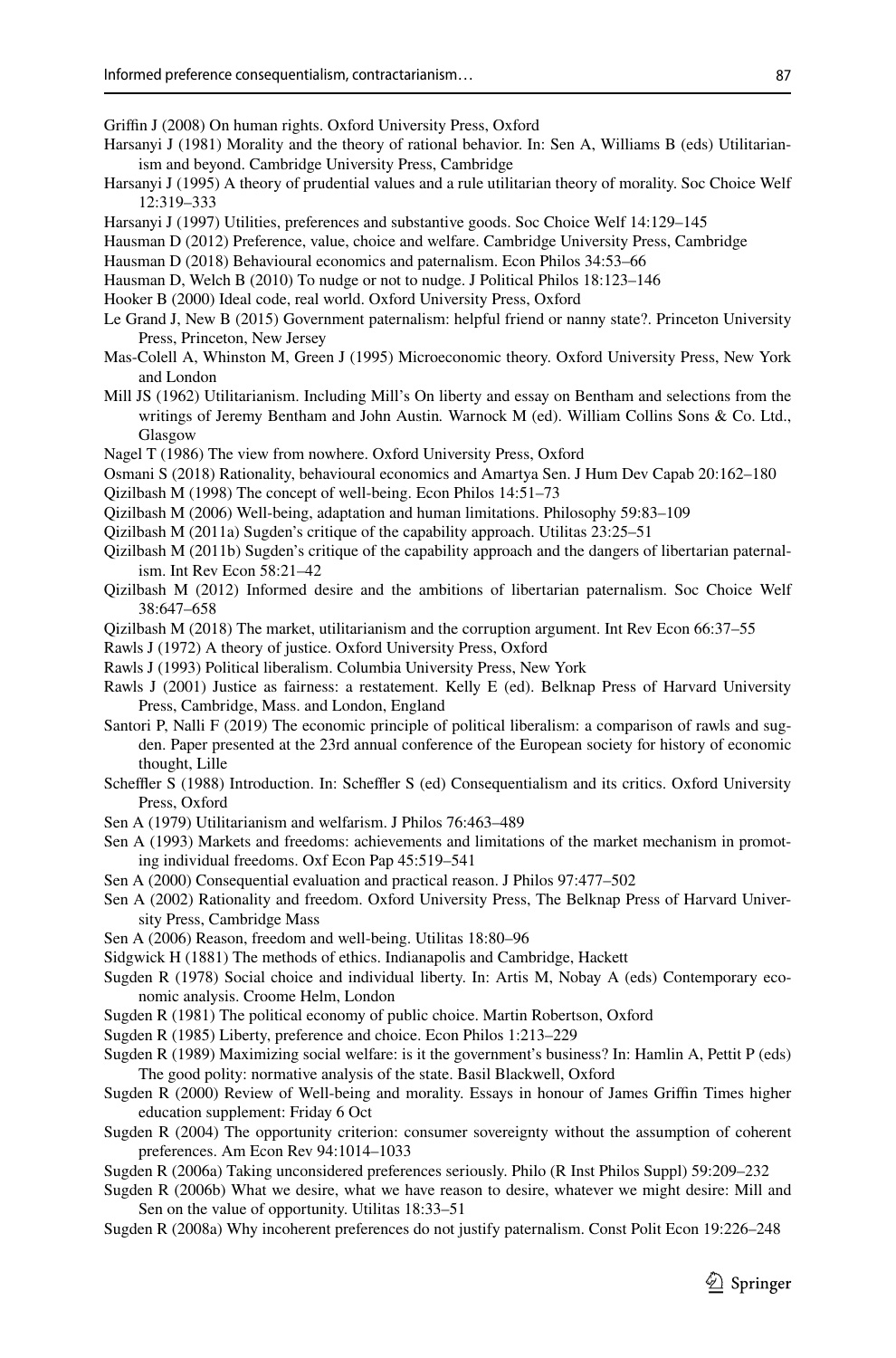<span id="page-21-15"></span>Griffin J (2008) On human rights. Oxford University Press, Oxford

- <span id="page-21-6"></span>Harsanyi J (1981) Morality and the theory of rational behavior. In: Sen A, Williams B (eds) Utilitarianism and beyond. Cambridge University Press, Cambridge
- <span id="page-21-7"></span>Harsanyi J (1995) A theory of prudential values and a rule utilitarian theory of morality. Soc Choice Welf 12:319–333
- <span id="page-21-8"></span>Harsanyi J (1997) Utilities, preferences and substantive goods. Soc Choice Welf 14:129–145
- <span id="page-21-14"></span>Hausman D (2012) Preference, value, choice and welfare. Cambridge University Press, Cambridge
- <span id="page-21-19"></span>Hausman D (2018) Behavioural economics and paternalism. Econ Philos 34:53–66
- <span id="page-21-18"></span>Hausman D, Welch B (2010) To nudge or not to nudge. J Political Philos 18:123–146
- <span id="page-21-20"></span>Hooker B (2000) Ideal code, real world. Oxford University Press, Oxford
- <span id="page-21-31"></span>Le Grand J, New B (2015) Government paternalism: helpful friend or nanny state?. Princeton University Press, Princeton, New Jersey
- <span id="page-21-11"></span>Mas-Colell A, Whinston M, Green J (1995) Microeconomic theory. Oxford University Press, New York and London
- <span id="page-21-4"></span>Mill JS (1962) Utilitarianism. Including Mill's On liberty and essay on Bentham and selections from the writings of Jeremy Bentham and John Austin*.* Warnock M (ed). William Collins Sons & Co. Ltd., Glasgow
- <span id="page-21-2"></span>Nagel T (1986) The view from nowhere. Oxford University Press, Oxford
- <span id="page-21-21"></span>Osmani S (2018) Rationality, behavioural economics and Amartya Sen. J Hum Dev Capab 20:162–180
- <span id="page-21-9"></span>Qizilbash M (1998) The concept of well-being. Econ Philos 14:51–73
- <span id="page-21-10"></span>Qizilbash M (2006) Well-being, adaptation and human limitations. Philosophy 59:83–109
- <span id="page-21-29"></span>Qizilbash M (2011a) Sugden's critique of the capability approach. Utilitas 23:25–51
- <span id="page-21-30"></span>Qizilbash M (2011b) Sugden's critique of the capability approach and the dangers of libertarian paternalism. Int Rev Econ 58:21–42
- <span id="page-21-17"></span>Qizilbash M (2012) Informed desire and the ambitions of libertarian paternalism. Soc Choice Welf 38:647–658
- <span id="page-21-13"></span>Qizilbash M (2018) The market, utilitarianism and the corruption argument. Int Rev Econ 66:37–55
- <span id="page-21-32"></span>Rawls J (1972) A theory of justice. Oxford University Press, Oxford
- <span id="page-21-35"></span>Rawls J (1993) Political liberalism. Columbia University Press, New York
- <span id="page-21-37"></span>Rawls J (2001) Justice as fairness: a restatement. Kelly E (ed). Belknap Press of Harvard University Press, Cambridge, Mass. and London, England
- <span id="page-21-36"></span>Santori P, Nalli F (2019) The economic principle of political liberalism: a comparison of rawls and sugden. Paper presented at the 23rd annual conference of the European society for history of economic thought, Lille
- <span id="page-21-3"></span>Scheffler S (1988) Introduction. In: Scheffler S (ed) Consequentialism and its critics. Oxford University Press, Oxford
- <span id="page-21-1"></span>Sen A (1979) Utilitarianism and welfarism. J Philos 76:463–489
- <span id="page-21-12"></span>Sen A (1993) Markets and freedoms: achievements and limitations of the market mechanism in promoting individual freedoms. Oxf Econ Pap 45:519–541
- <span id="page-21-22"></span>Sen A (2000) Consequential evaluation and practical reason. J Philos 97:477–502
- <span id="page-21-23"></span>Sen A (2002) Rationality and freedom. Oxford University Press, The Belknap Press of Harvard University Press, Cambridge Mass
- <span id="page-21-28"></span>Sen A (2006) Reason, freedom and well-being. Utilitas 18:80–96
- <span id="page-21-5"></span>Sidgwick H (1881) The methods of ethics. Indianapolis and Cambridge, Hackett
- <span id="page-21-27"></span>Sugden R (1978) Social choice and individual liberty. In: Artis M, Nobay A (eds) Contemporary economic analysis. Croome Helm, London
- <span id="page-21-24"></span>Sugden R (1981) The political economy of public choice. Martin Robertson, Oxford
- <span id="page-21-25"></span>Sugden R (1985) Liberty, preference and choice. Econ Philos 1:213–229
- <span id="page-21-0"></span>Sugden R (1989) Maximizing social welfare: is it the government's business? In: Hamlin A, Pettit P (eds) The good polity: normative analysis of the state. Basil Blackwell, Oxford
- <span id="page-21-34"></span>Sugden R (2000) Review of Well-being and morality. Essays in honour of James Griffin Times higher education supplement: Friday 6 Oct
- Sugden R (2004) The opportunity criterion: consumer sovereignty without the assumption of coherent preferences. Am Econ Rev 94:1014–1033
- <span id="page-21-33"></span>Sugden R (2006a) Taking unconsidered preferences seriously. Philo (R Inst Philos Suppl) 59:209–232
- <span id="page-21-26"></span>Sugden R (2006b) What we desire, what we have reason to desire, whatever we might desire: Mill and Sen on the value of opportunity. Utilitas 18:33–51
- <span id="page-21-16"></span>Sugden R (2008a) Why incoherent preferences do not justify paternalism. Const Polit Econ 19:226–248